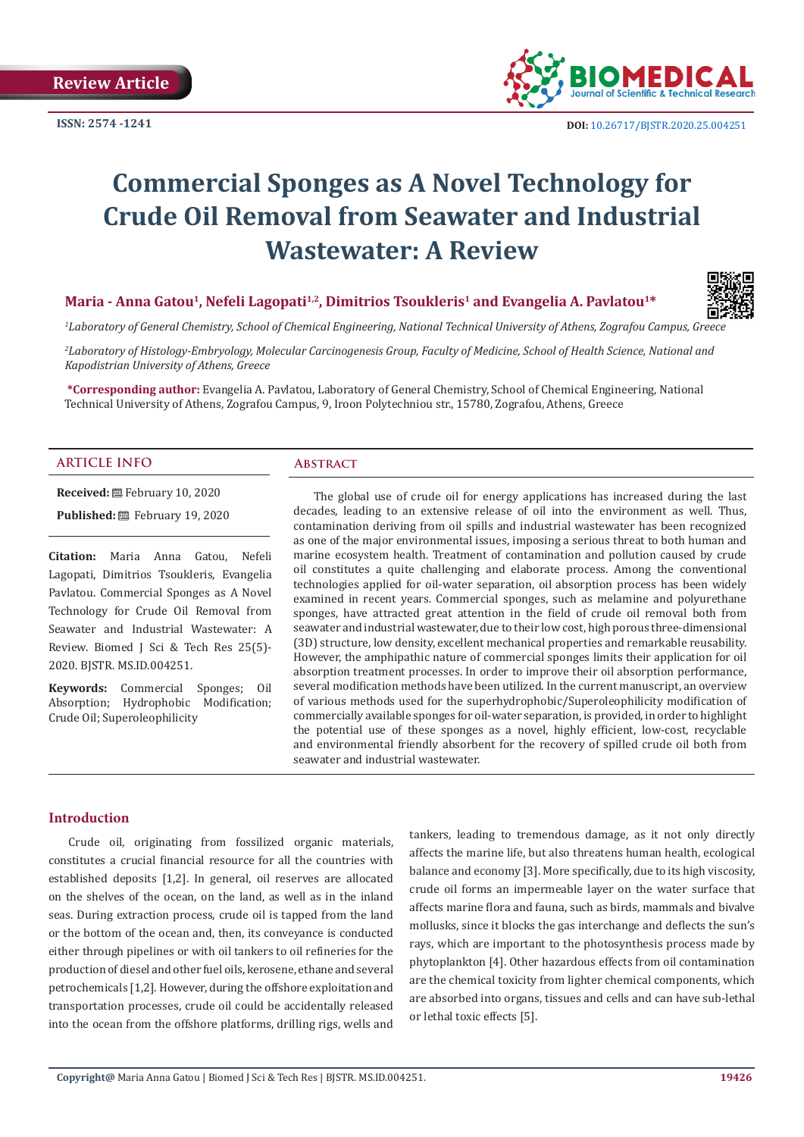

# **Commercial Sponges as A Novel Technology for Crude Oil Removal from Seawater and Industrial Wastewater: A Review**

## Maria - Anna Gatou<sup>1</sup>, Nefeli Lagopati<sup>1,2</sup>, Dimitrios Tsoukleris<sup>1</sup> and Evangelia A. Pavlatou<sup>1\*</sup>



*1 Laboratory of General Chemistry, School of Chemical Engineering, National Technical University of Athens, Zografou Campus, Greece*

*2 Laboratory of Histology-Embryology, Molecular Carcinogenesis Group, Faculty of Medicine, School of Health Science, National and Kapodistrian University of Athens, Greece*

**\*Corresponding author:** Evangelia A. Pavlatou, Laboratory of General Chemistry, School of Chemical Engineering, National Technical University of Athens, Zografou Campus, 9, Iroon Polytechniou str., 15780, Zografou, Athens, Greece

#### **ARTICLE INFO Abstract**

**Received:** February 10, 2020 Published: **■**February 19, 2020

**Citation:** Maria Anna Gatou, Nefeli Lagopati, Dimitrios Tsoukleris, Evangelia Pavlatou. Commercial Sponges as A Novel Technology for Crude Oil Removal from Seawater and Industrial Wastewater: A Review. Biomed J Sci & Tech Res 25(5)- 2020. BJSTR. MS.ID.004251.

**Keywords:** Commercial Sponges; Oil Absorption; Hydrophobic Modification; Crude Oil; Superoleophilicity

The global use of crude oil for energy applications has increased during the last decades, leading to an extensive release of oil into the environment as well. Thus, contamination deriving from oil spills and industrial wastewater has been recognized as one of the major environmental issues, imposing a serious threat to both human and marine ecosystem health. Treatment of contamination and pollution caused by crude oil constitutes a quite challenging and elaborate process. Among the conventional technologies applied for oil-water separation, oil absorption process has been widely examined in recent years. Commercial sponges, such as melamine and polyurethane sponges, have attracted great attention in the field of crude oil removal both from seawater and industrial wastewater, due to their low cost, high porous three-dimensional (3D) structure, low density, excellent mechanical properties and remarkable reusability. However, the amphipathic nature of commercial sponges limits their application for oil absorption treatment processes. In order to improve their oil absorption performance, several modification methods have been utilized. In the current manuscript, an overview of various methods used for the superhydrophobic/Superoleophilicity modification of commercially available sponges for oil-water separation, is provided, in order to highlight the potential use of these sponges as a novel, highly efficient, low-cost, recyclable and environmental friendly absorbent for the recovery of spilled crude oil both from seawater and industrial wastewater.

#### **Introduction**

Crude oil, originating from fossilized organic materials, constitutes a crucial financial resource for all the countries with established deposits [1,2]. In general, oil reserves are allocated on the shelves of the ocean, on the land, as well as in the inland seas. During extraction process, crude oil is tapped from the land or the bottom of the ocean and, then, its conveyance is conducted either through pipelines or with oil tankers to oil refineries for the production of diesel and other fuel oils, kerosene, ethane and several petrochemicals [1,2]. However, during the offshore exploitation and transportation processes, crude oil could be accidentally released into the ocean from the offshore platforms, drilling rigs, wells and

tankers, leading to tremendous damage, as it not only directly affects the marine life, but also threatens human health, ecological balance and economy [3]. More specifically, due to its high viscosity, crude oil forms an impermeable layer on the water surface that affects marine flora and fauna, such as birds, mammals and bivalve mollusks, since it blocks the gas interchange and deflects the sun's rays, which are important to the photosynthesis process made by phytoplankton [4]. Other hazardous effects from oil contamination are the chemical toxicity from lighter chemical components, which are absorbed into organs, tissues and cells and can have sub-lethal or lethal toxic effects [5].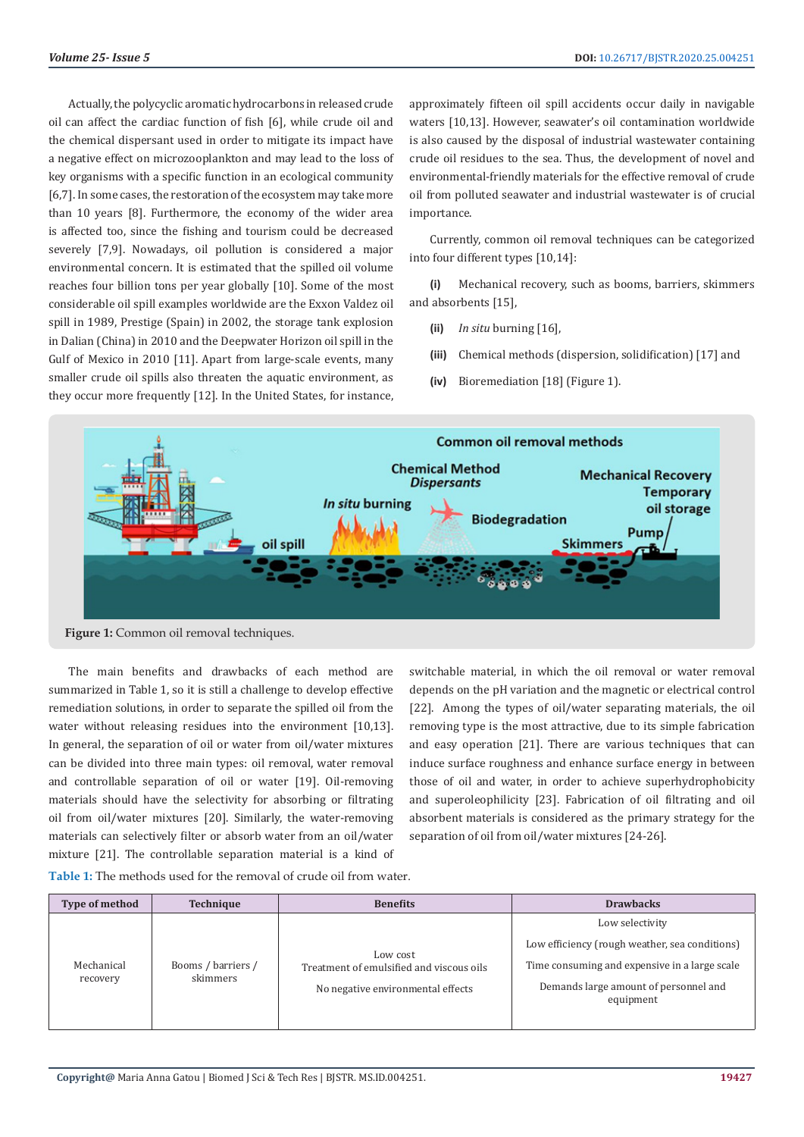Actually, the polycyclic aromatic hydrocarbons in released crude oil can affect the cardiac function of fish [6], while crude oil and the chemical dispersant used in order to mitigate its impact have a negative effect on microzooplankton and may lead to the loss of key organisms with a specific function in an ecological community [6,7]. In some cases, the restoration of the ecosystem may take more than 10 years [8]. Furthermore, the economy of the wider area is affected too, since the fishing and tourism could be decreased severely [7,9]. Nowadays, oil pollution is considered a major environmental concern. It is estimated that the spilled oil volume reaches four billion tons per year globally [10]. Some of the most considerable oil spill examples worldwide are the Exxon Valdez oil spill in 1989, Prestige (Spain) in 2002, the storage tank explosion in Dalian (China) in 2010 and the Deepwater Horizon oil spill in the Gulf of Mexico in 2010 [11]. Apart from large-scale events, many smaller crude oil spills also threaten the aquatic environment, as they occur more frequently [12]. In the United States, for instance,

approximately fifteen oil spill accidents occur daily in navigable waters [10,13]. However, seawater's oil contamination worldwide is also caused by the disposal of industrial wastewater containing crude oil residues to the sea. Thus, the development of novel and environmental-friendly materials for the effective removal of crude oil from polluted seawater and industrial wastewater is of crucial importance.

Currently, common oil removal techniques can be categorized into four different types [10,14]:

**(i)** Mechanical recovery, such as booms, barriers, skimmers and absorbents [15],

- **(ii)** *In situ* burning [16],
- **(iii)** Chemical methods (dispersion, solidification) [17] and
- **(iv)** Bioremediation [18] (Figure 1).



Figure 1: Common oil removal techniques.

The main benefits and drawbacks of each method are summarized in Table 1, so it is still a challenge to develop effective remediation solutions, in order to separate the spilled oil from the water without releasing residues into the environment [10,13]. In general, the separation of oil or water from oil/water mixtures can be divided into three main types: oil removal, water removal and controllable separation of oil or water [19]. Oil-removing materials should have the selectivity for absorbing or filtrating oil from oil/water mixtures [20]. Similarly, the water-removing materials can selectively filter or absorb water from an oil/water mixture [21]. The controllable separation material is a kind of switchable material, in which the oil removal or water removal depends on the pH variation and the magnetic or electrical control [22]. Among the types of oil/water separating materials, the oil removing type is the most attractive, due to its simple fabrication and easy operation [21]. There are various techniques that can induce surface roughness and enhance surface energy in between those of oil and water, in order to achieve superhydrophobicity and superoleophilicity [23]. Fabrication of oil filtrating and oil absorbent materials is considered as the primary strategy for the separation of oil from oil/water mixtures [24-26].

| Type of method         | <b>Technique</b>               | <b>Benefits</b>                                                                           | <b>Drawbacks</b>                                   |
|------------------------|--------------------------------|-------------------------------------------------------------------------------------------|----------------------------------------------------|
| Mechanical<br>recovery | Booms / barriers /<br>skimmers | Low cost<br>Treatment of emulsified and viscous oils<br>No negative environmental effects | Low selectivity                                    |
|                        |                                |                                                                                           | Low efficiency (rough weather, sea conditions)     |
|                        |                                |                                                                                           | Time consuming and expensive in a large scale      |
|                        |                                |                                                                                           | Demands large amount of personnel and<br>equipment |
|                        |                                |                                                                                           |                                                    |

**Table 1:** The methods used for the removal of crude oil from water.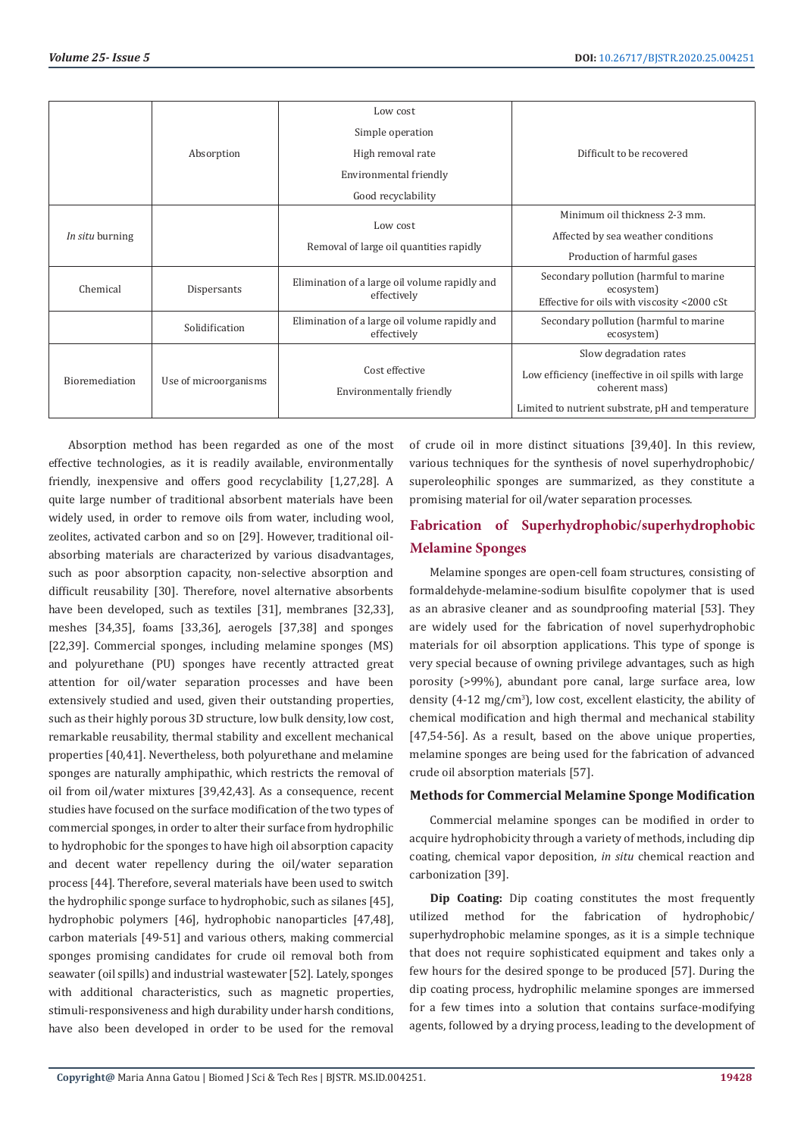|                       |                       | Low cost                                                     |                                                                                                     |
|-----------------------|-----------------------|--------------------------------------------------------------|-----------------------------------------------------------------------------------------------------|
|                       |                       | Simple operation                                             |                                                                                                     |
|                       | Absorption            | High removal rate                                            | Difficult to be recovered                                                                           |
|                       |                       | Environmental friendly                                       |                                                                                                     |
|                       |                       | Good recyclability                                           |                                                                                                     |
| In situ burning       |                       | Low cost                                                     | Minimum oil thickness 2-3 mm.                                                                       |
|                       |                       |                                                              | Affected by sea weather conditions                                                                  |
|                       |                       | Removal of large oil quantities rapidly                      | Production of harmful gases                                                                         |
| Chemical              | Dispersants           | Elimination of a large oil volume rapidly and<br>effectively | Secondary pollution (harmful to marine<br>ecosystem)<br>Effective for oils with viscosity <2000 cSt |
|                       | Solidification        | Elimination of a large oil volume rapidly and<br>effectively | Secondary pollution (harmful to marine<br>ecosystem)                                                |
| <b>Bioremediation</b> | Use of microorganisms |                                                              | Slow degradation rates                                                                              |
|                       |                       | Cost effective<br>Environmentally friendly                   | Low efficiency (ineffective in oil spills with large<br>coherent mass)                              |
|                       |                       |                                                              | Limited to nutrient substrate, pH and temperature                                                   |

Absorption method has been regarded as one of the most effective technologies, as it is readily available, environmentally friendly, inexpensive and offers good recyclability [1,27,28]. A quite large number of traditional absorbent materials have been widely used, in order to remove oils from water, including wool, zeolites, activated carbon and so on [29]. However, traditional oilabsorbing materials are characterized by various disadvantages, such as poor absorption capacity, non-selective absorption and difficult reusability [30]. Therefore, novel alternative absorbents have been developed, such as textiles [31], membranes [32,33], meshes [34,35], foams [33,36], aerogels [37,38] and sponges [22,39]. Commercial sponges, including melamine sponges (MS) and polyurethane (PU) sponges have recently attracted great attention for oil/water separation processes and have been extensively studied and used, given their outstanding properties, such as their highly porous 3D structure, low bulk density, low cost, remarkable reusability, thermal stability and excellent mechanical properties [40,41]. Nevertheless, both polyurethane and melamine sponges are naturally amphipathic, which restricts the removal of oil from oil/water mixtures [39,42,43]. As a consequence, recent studies have focused on the surface modification of the two types of commercial sponges, in order to alter their surface from hydrophilic to hydrophobic for the sponges to have high oil absorption capacity and decent water repellency during the oil/water separation process [44]. Therefore, several materials have been used to switch the hydrophilic sponge surface to hydrophobic, such as silanes [45], hydrophobic polymers [46], hydrophobic nanoparticles [47,48], carbon materials [49-51] and various others, making commercial sponges promising candidates for crude oil removal both from seawater (oil spills) and industrial wastewater [52]. Lately, sponges with additional characteristics, such as magnetic properties, stimuli-responsiveness and high durability under harsh conditions, have also been developed in order to be used for the removal

of crude oil in more distinct situations [39,40]. In this review, various techniques for the synthesis of novel superhydrophobic/ superoleophilic sponges are summarized, as they constitute a promising material for oil/water separation processes.

# **Fabrication of Superhydrophobic/superhydrophobic Melamine Sponges**

Melamine sponges are open-cell foam structures, consisting of formaldehyde-melamine-sodium bisulfite copolymer that is used as an abrasive cleaner and as soundproofing material [53]. They are widely used for the fabrication of novel superhydrophobic materials for oil absorption applications. This type of sponge is very special because of owning privilege advantages, such as high porosity (>99%), abundant pore canal, large surface area, low density  $(4\n-12 \text{ mg/cm}^3)$ , low cost, excellent elasticity, the ability of chemical modification and high thermal and mechanical stability [47,54-56]. As a result, based on the above unique properties, melamine sponges are being used for the fabrication of advanced crude oil absorption materials [57].

### **Methods for Commercial Melamine Sponge Modification**

Commercial melamine sponges can be modified in order to acquire hydrophobicity through a variety of methods, including dip coating, chemical vapor deposition, *in situ* chemical reaction and carbonization [39].

**Dip Coating:** Dip coating constitutes the most frequently utilized method for the fabrication of hydrophobic/ superhydrophobic melamine sponges, as it is a simple technique that does not require sophisticated equipment and takes only a few hours for the desired sponge to be produced [57]. During the dip coating process, hydrophilic melamine sponges are immersed for a few times into a solution that contains surface-modifying agents, followed by a drying process, leading to the development of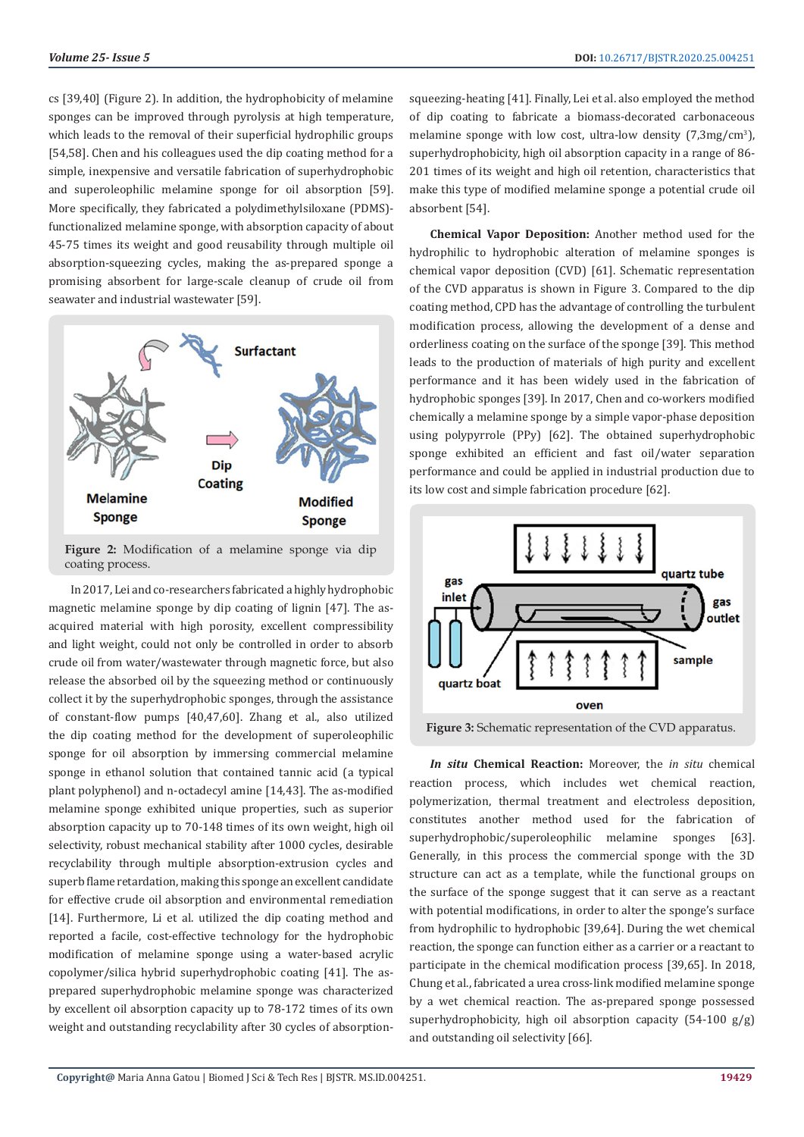cs [39,40] (Figure 2). In addition, the hydrophobicity of melamine sponges can be improved through pyrolysis at high temperature, which leads to the removal of their superficial hydrophilic groups [54,58]. Chen and his colleagues used the dip coating method for a simple, inexpensive and versatile fabrication of superhydrophobic and superoleophilic melamine sponge for oil absorption [59]. More specifically, they fabricated a polydimethylsiloxane (PDMS) functionalized melamine sponge, with absorption capacity of about 45-75 times its weight and good reusability through multiple oil absorption-squeezing cycles, making the as-prepared sponge a promising absorbent for large-scale cleanup of crude oil from seawater and industrial wastewater [59].



**Figure 2:** Modification of a melamine sponge via dip coating process.

 In 2017, Lei and co-researchers fabricated a highly hydrophobic magnetic melamine sponge by dip coating of lignin [47]. The asacquired material with high porosity, excellent compressibility and light weight, could not only be controlled in order to absorb crude oil from water/wastewater through magnetic force, but also release the absorbed oil by the squeezing method or continuously collect it by the superhydrophobic sponges, through the assistance of constant-flow pumps [40,47,60]. Zhang et al., also utilized the dip coating method for the development of superoleophilic sponge for oil absorption by immersing commercial melamine sponge in ethanol solution that contained tannic acid (a typical plant polyphenol) and n-octadecyl amine [14,43]. The as-modified melamine sponge exhibited unique properties, such as superior absorption capacity up to 70-148 times of its own weight, high oil selectivity, robust mechanical stability after 1000 cycles, desirable recyclability through multiple absorption-extrusion cycles and superb flame retardation, making this sponge an excellent candidate for effective crude oil absorption and environmental remediation [14]. Furthermore, Li et al. utilized the dip coating method and reported a facile, cost-effective technology for the hydrophobic modification of melamine sponge using a water-based acrylic copolymer/silica hybrid superhydrophobic coating [41]. The asprepared superhydrophobic melamine sponge was characterized by excellent oil absorption capacity up to 78-172 times of its own weight and outstanding recyclability after 30 cycles of absorptionsqueezing-heating [41]. Finally, Lei et al. also employed the method of dip coating to fabricate a biomass-decorated carbonaceous melamine sponge with low cost, ultra-low density (7,3mg/cm<sup>3</sup>), superhydrophobicity, high oil absorption capacity in a range of 86- 201 times of its weight and high oil retention, characteristics that make this type of modified melamine sponge a potential crude oil absorbent [54].

**Chemical Vapor Deposition:** Another method used for the hydrophilic to hydrophobic alteration of melamine sponges is chemical vapor deposition (CVD) [61]. Schematic representation of the CVD apparatus is shown in Figure 3. Compared to the dip coating method, CPD has the advantage of controlling the turbulent modification process, allowing the development of a dense and orderliness coating on the surface of the sponge [39]. This method leads to the production of materials of high purity and excellent performance and it has been widely used in the fabrication of hydrophobic sponges [39]. In 2017, Chen and co-workers modified chemically a melamine sponge by a simple vapor-phase deposition using polypyrrole (PPy) [62]. The obtained superhydrophobic sponge exhibited an efficient and fast oil/water separation performance and could be applied in industrial production due to its low cost and simple fabrication procedure [62].



**Figure 3:** Schematic representation of the CVD apparatus.

*In situ* **Chemical Reaction:** Moreover, the *in situ* chemical reaction process, which includes wet chemical reaction, polymerization, thermal treatment and electroless deposition, constitutes another method used for the fabrication of superhydrophobic/superoleophilic melamine sponges [63]. Generally, in this process the commercial sponge with the 3D structure can act as a template, while the functional groups on the surface of the sponge suggest that it can serve as a reactant with potential modifications, in order to alter the sponge's surface from hydrophilic to hydrophobic [39,64]. During the wet chemical reaction, the sponge can function either as a carrier or a reactant to participate in the chemical modification process [39,65]. In 2018, Chung et al., fabricated a urea cross-link modified melamine sponge by a wet chemical reaction. The as-prepared sponge possessed superhydrophobicity, high oil absorption capacity  $(54-100 \text{ g/g})$ and outstanding oil selectivity [66].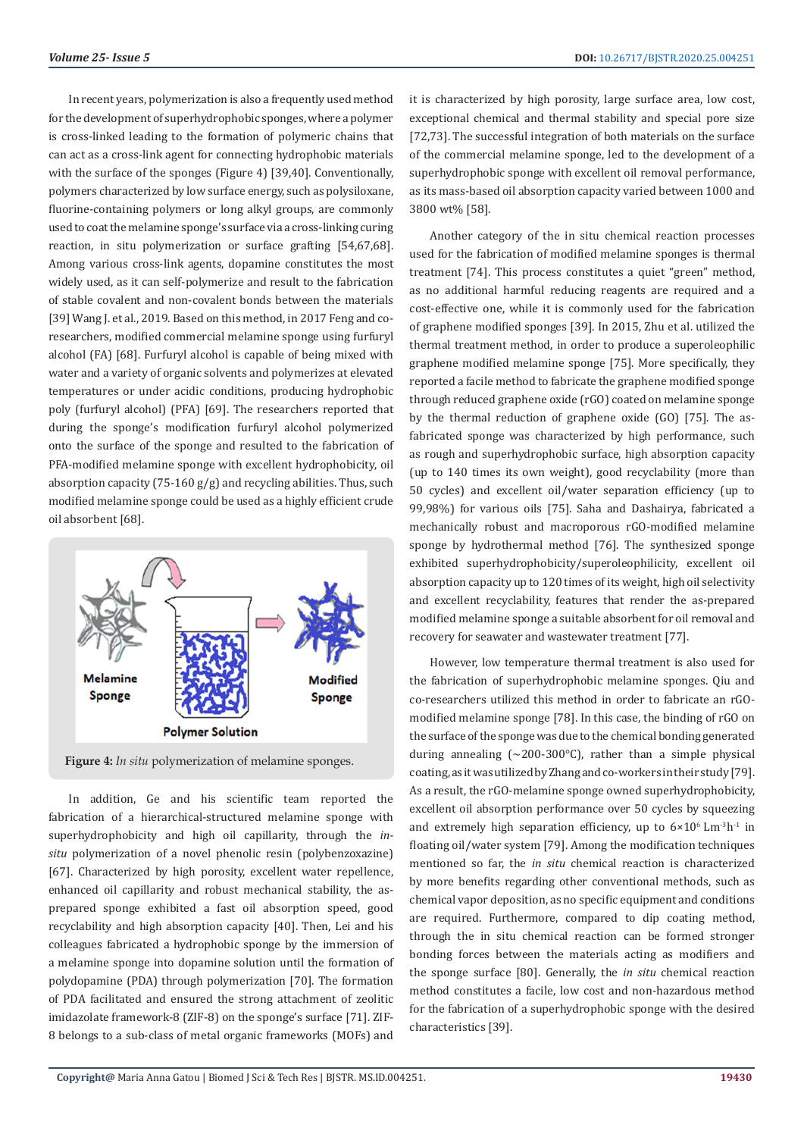In recent years, polymerization is also a frequently used method for the development of superhydrophobic sponges, where a polymer is cross-linked leading to the formation of polymeric chains that can act as a cross-link agent for connecting hydrophobic materials with the surface of the sponges (Figure 4) [39,40]. Conventionally, polymers characterized by low surface energy, such as polysiloxane, fluorine-containing polymers or long alkyl groups, are commonly used to coat the melamine sponge's surface via a cross-linking curing reaction, in situ polymerization or surface grafting [54,67,68]. Among various cross-link agents, dopamine constitutes the most widely used, as it can self-polymerize and result to the fabrication of stable covalent and non-covalent bonds between the materials [39] Wang J. et al., 2019. Based on this method, in 2017 Feng and coresearchers, modified commercial melamine sponge using furfuryl alcohol (FA) [68]. Furfuryl alcohol is capable of being mixed with water and a variety of organic solvents and polymerizes at elevated temperatures or under acidic conditions, producing hydrophobic poly (furfuryl alcohol) (PFA) [69]. The researchers reported that during the sponge's modification furfuryl alcohol polymerized onto the surface of the sponge and resulted to the fabrication of PFA-modified melamine sponge with excellent hydrophobicity, oil absorption capacity (75-160 g/g) and recycling abilities. Thus, such modified melamine sponge could be used as a highly efficient crude oil absorbent [68].



**Figure 4:** *In situ* polymerization of melamine sponges.

In addition, Ge and his scientific team reported the fabrication of a hierarchical-structured melamine sponge with superhydrophobicity and high oil capillarity, through the *insitu* polymerization of a novel phenolic resin (polybenzoxazine) [67]. Characterized by high porosity, excellent water repellence, enhanced oil capillarity and robust mechanical stability, the asprepared sponge exhibited a fast oil absorption speed, good recyclability and high absorption capacity [40]. Then, Lei and his colleagues fabricated a hydrophobic sponge by the immersion of a melamine sponge into dopamine solution until the formation of polydopamine (PDA) through polymerization [70]. The formation of PDA facilitated and ensured the strong attachment of zeolitic imidazolate framework-8 (ZIF-8) on the sponge's surface [71]. ZIF-8 belongs to a sub-class of metal organic frameworks (MOFs) and

it is characterized by high porosity, large surface area, low cost, exceptional chemical and thermal stability and special pore size [72,73]. The successful integration of both materials on the surface of the commercial melamine sponge, led to the development of a superhydrophobic sponge with excellent oil removal performance, as its mass-based oil absorption capacity varied between 1000 and 3800 wt% [58].

Another category of the in situ chemical reaction processes used for the fabrication of modified melamine sponges is thermal treatment [74]. This process constitutes a quiet "green" method, as no additional harmful reducing reagents are required and a cost-effective one, while it is commonly used for the fabrication of graphene modified sponges [39]. In 2015, Zhu et al. utilized the thermal treatment method, in order to produce a superoleophilic graphene modified melamine sponge [75]. More specifically, they reported a facile method to fabricate the graphene modified sponge through reduced graphene oxide (rGO) coated on melamine sponge by the thermal reduction of graphene oxide (GO) [75]. The asfabricated sponge was characterized by high performance, such as rough and superhydrophobic surface, high absorption capacity (up to 140 times its own weight), good recyclability (more than 50 cycles) and excellent oil/water separation efficiency (up to 99,98%) for various oils [75]. Saha and Dashairya, fabricated a mechanically robust and macroporous rGO-modified melamine sponge by hydrothermal method [76]. The synthesized sponge exhibited superhydrophobicity/superoleophilicity, excellent oil absorption capacity up to 120 times of its weight, high oil selectivity and excellent recyclability, features that render the as-prepared modified melamine sponge a suitable absorbent for oil removal and recovery for seawater and wastewater treatment [77].

However, low temperature thermal treatment is also used for the fabrication of superhydrophobic melamine sponges. Qiu and co-researchers utilized this method in order to fabricate an rGOmodified melamine sponge [78]. In this case, the binding of rGO on the surface of the sponge was due to the chemical bonding generated during annealing  $\approx 200-300^{\circ}$ C), rather than a simple physical coating, as it was utilized by Zhang and co-workers in their study [79]. As a result, the rGO-melamine sponge owned superhydrophobicity, excellent oil absorption performance over 50 cycles by squeezing and extremely high separation efficiency, up to  $6\times10^{6}$  Lm<sup>-3</sup>h<sup>-1</sup> in floating oil/water system [79]. Among the modification techniques mentioned so far, the *in situ* chemical reaction is characterized by more benefits regarding other conventional methods, such as chemical vapor deposition, as no specific equipment and conditions are required. Furthermore, compared to dip coating method, through the in situ chemical reaction can be formed stronger bonding forces between the materials acting as modifiers and the sponge surface [80]. Generally, the *in situ* chemical reaction method constitutes a facile, low cost and non-hazardous method for the fabrication of a superhydrophobic sponge with the desired characteristics [39].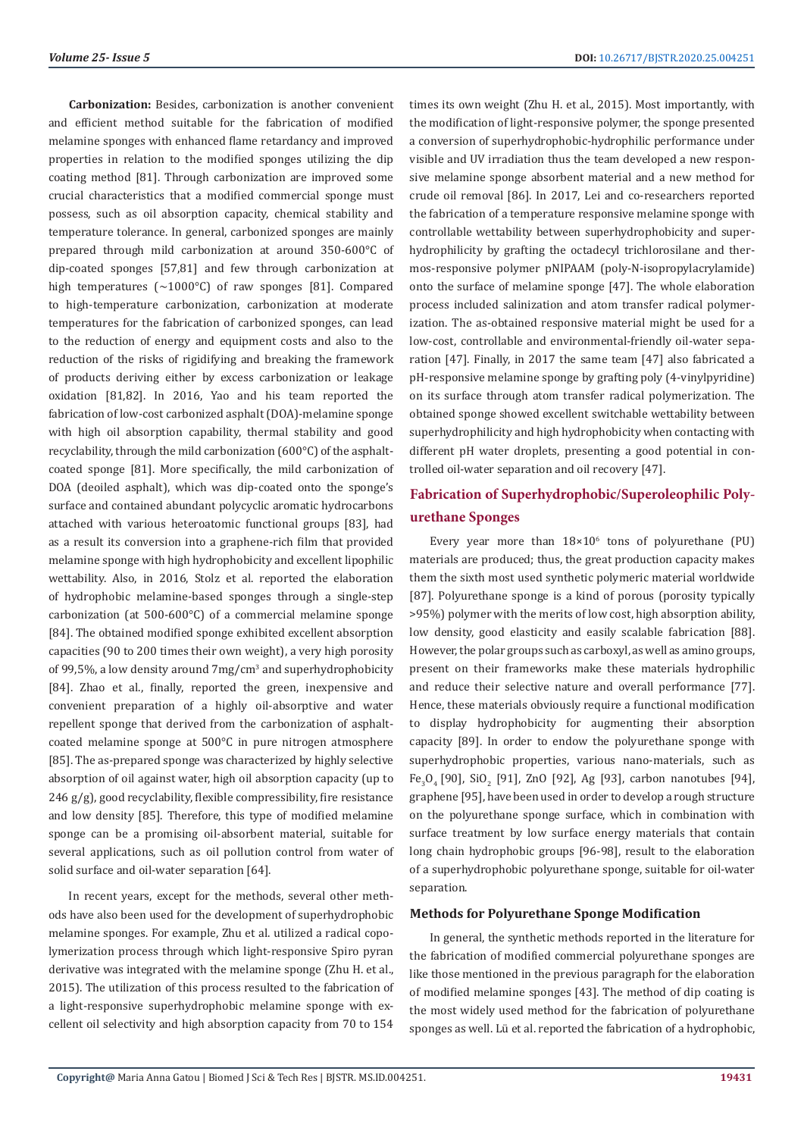**Carbonization:** Besides, carbonization is another convenient and efficient method suitable for the fabrication of modified melamine sponges with enhanced flame retardancy and improved properties in relation to the modified sponges utilizing the dip coating method [81]. Through carbonization are improved some crucial characteristics that a modified commercial sponge must possess, such as oil absorption capacity, chemical stability and temperature tolerance. In general, carbonized sponges are mainly prepared through mild carbonization at around 350-600°C of dip-coated sponges [57,81] and few through carbonization at high temperatures (~1000°C) of raw sponges [81]. Compared to high-temperature carbonization, carbonization at moderate temperatures for the fabrication of carbonized sponges, can lead to the reduction of energy and equipment costs and also to the reduction of the risks of rigidifying and breaking the framework of products deriving either by excess carbonization or leakage oxidation [81,82]. In 2016, Yao and his team reported the fabrication of low-cost carbonized asphalt (DOA)-melamine sponge with high oil absorption capability, thermal stability and good recyclability, through the mild carbonization (600°C) of the asphaltcoated sponge [81]. More specifically, the mild carbonization of DOA (deoiled asphalt), which was dip-coated onto the sponge's surface and contained abundant polycyclic aromatic hydrocarbons attached with various heteroatomic functional groups [83], had as a result its conversion into a graphene-rich film that provided melamine sponge with high hydrophobicity and excellent lipophilic wettability. Also, in 2016, Stolz et al. reported the elaboration of hydrophobic melamine-based sponges through a single-step carbonization (at 500-600°C) of a commercial melamine sponge [84]. The obtained modified sponge exhibited excellent absorption capacities (90 to 200 times their own weight), a very high porosity of 99,5%, a low density around 7mg/cm<sup>3</sup> and superhydrophobicity [84]. Zhao et al., finally, reported the green, inexpensive and convenient preparation of a highly oil-absorptive and water repellent sponge that derived from the carbonization of asphaltcoated melamine sponge at 500°C in pure nitrogen atmosphere [85]. The as-prepared sponge was characterized by highly selective absorption of oil against water, high oil absorption capacity (up to 246 g/g), good recyclability, flexible compressibility, fire resistance and low density [85]. Therefore, this type of modified melamine sponge can be a promising oil-absorbent material, suitable for several applications, such as oil pollution control from water of solid surface and oil-water separation [64].

In recent years, except for the methods, several other methods have also been used for the development of superhydrophobic melamine sponges. For example, Zhu et al. utilized a radical copolymerization process through which light-responsive Spiro pyran derivative was integrated with the melamine sponge (Zhu H. et al., 2015). The utilization of this process resulted to the fabrication of a light-responsive superhydrophobic melamine sponge with excellent oil selectivity and high absorption capacity from 70 to 154 times its own weight (Zhu H. et al., 2015). Most importantly, with the modification of light-responsive polymer, the sponge presented a conversion of superhydrophobic-hydrophilic performance under visible and UV irradiation thus the team developed a new responsive melamine sponge absorbent material and a new method for crude oil removal [86]. In 2017, Lei and co-researchers reported the fabrication of a temperature responsive melamine sponge with controllable wettability between superhydrophobicity and superhydrophilicity by grafting the octadecyl trichlorosilane and thermos-responsive polymer pNIPAAM (poly-N-isopropylacrylamide) onto the surface of melamine sponge [47]. The whole elaboration process included salinization and atom transfer radical polymerization. The as-obtained responsive material might be used for a low-cost, controllable and environmental-friendly oil-water separation [47]. Finally, in 2017 the same team [47] also fabricated a pH-responsive melamine sponge by grafting poly (4-vinylpyridine) on its surface through atom transfer radical polymerization. The obtained sponge showed excellent switchable wettability between superhydrophilicity and high hydrophobicity when contacting with different pH water droplets, presenting a good potential in controlled oil-water separation and oil recovery [47].

# **Fabrication of Superhydrophobic/Superoleophilic Polyurethane Sponges**

Every year more than  $18\times10^6$  tons of polyurethane (PU) materials are produced; thus, the great production capacity makes them the sixth most used synthetic polymeric material worldwide [87]. Polyurethane sponge is a kind of porous (porosity typically >95%) polymer with the merits of low cost, high absorption ability, low density, good elasticity and easily scalable fabrication [88]. However, the polar groups such as carboxyl, as well as amino groups, present on their frameworks make these materials hydrophilic and reduce their selective nature and overall performance [77]. Hence, these materials obviously require a functional modification to display hydrophobicity for augmenting their absorption capacity [89]. In order to endow the polyurethane sponge with superhydrophobic properties, various nano-materials, such as  $Fe_{3}O_{4}$  [90], SiO<sub>2</sub> [91], ZnO [92], Ag [93], carbon nanotubes [94], graphene [95], have been used in order to develop a rough structure on the polyurethane sponge surface, which in combination with surface treatment by low surface energy materials that contain long chain hydrophobic groups [96-98], result to the elaboration of a superhydrophobic polyurethane sponge, suitable for oil-water separation.

#### **Methods for Polyurethane Sponge Modification**

In general, the synthetic methods reported in the literature for the fabrication of modified commercial polyurethane sponges are like those mentioned in the previous paragraph for the elaboration of modified melamine sponges [43]. The method of dip coating is the most widely used method for the fabrication of polyurethane sponges as well. Lü et al. reported the fabrication of a hydrophobic,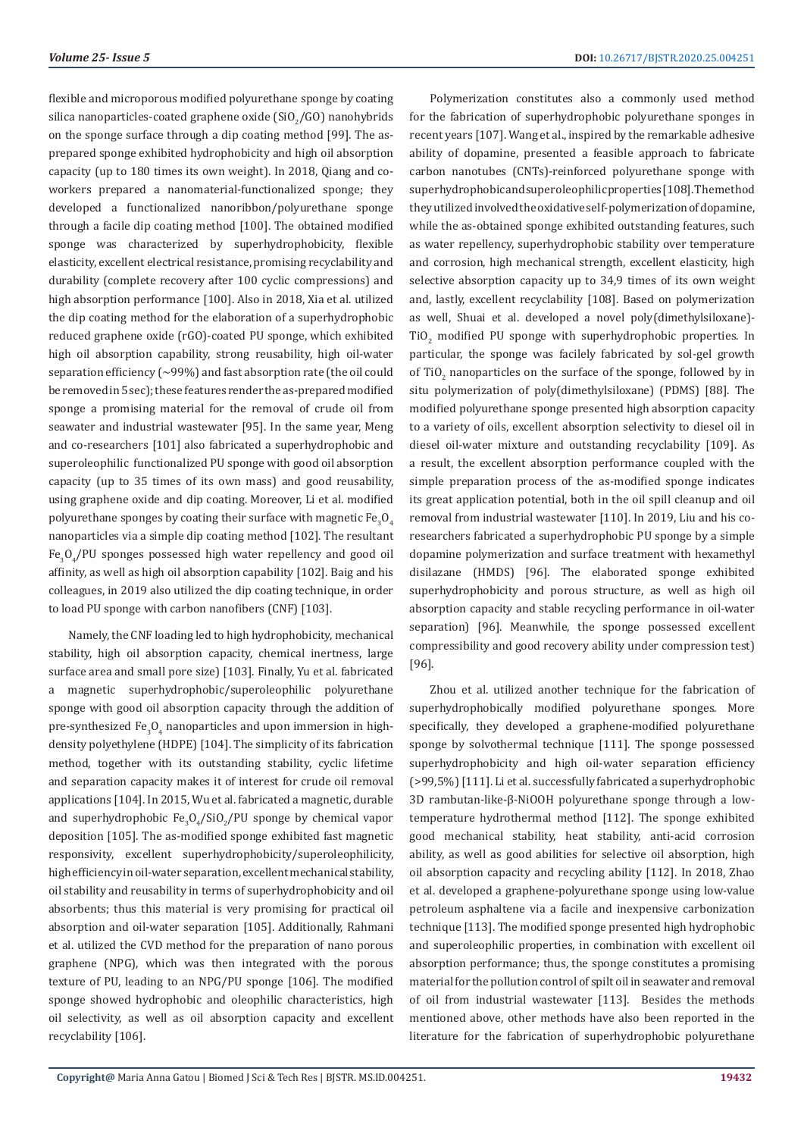flexible and microporous modified polyurethane sponge by coating silica nanoparticles-coated graphene oxide (SiO $_2$ /GO) nanohybrids on the sponge surface through a dip coating method [99]. The asprepared sponge exhibited hydrophobicity and high oil absorption capacity (up to 180 times its own weight). In 2018, Qiang and coworkers prepared a nanomaterial-functionalized sponge; they developed a functionalized nanoribbon/polyurethane sponge through a facile dip coating method [100]. The obtained modified sponge was characterized by superhydrophobicity, flexible elasticity, excellent electrical resistance, promising recyclability and durability (complete recovery after 100 cyclic compressions) and high absorption performance [100]. Also in 2018, Xia et al. utilized the dip coating method for the elaboration of a superhydrophobic reduced graphene oxide (rGO)-coated PU sponge, which exhibited high oil absorption capability, strong reusability, high oil-water separation efficiency  $({\sim}99\%)$  and fast absorption rate (the oil could be removed in 5 sec); these features render the as-prepared modified sponge a promising material for the removal of crude oil from seawater and industrial wastewater [95]. In the same year, Meng and co-researchers [101] also fabricated a superhydrophobic and superoleophilic functionalized PU sponge with good oil absorption capacity (up to 35 times of its own mass) and good reusability, using graphene oxide and dip coating. Moreover, Li et al. modified polyurethane sponges by coating their surface with magnetic Fe $_{3}^{\mathrm{}}\mathrm{O}_{4}$ nanoparticles via a simple dip coating method [102]. The resultant  $Fe<sub>3</sub>O<sub>4</sub>/PU$  sponges possessed high water repellency and good oil affinity, as well as high oil absorption capability [102]. Baig and his colleagues, in 2019 also utilized the dip coating technique, in order to load PU sponge with carbon nanofibers (CNF) [103].

Namely, the CNF loading led to high hydrophobicity, mechanical stability, high oil absorption capacity, chemical inertness, large surface area and small pore size) [103]. Finally, Yu et al. fabricated a magnetic superhydrophobic/superoleophilic polyurethane sponge with good oil absorption capacity through the addition of pre-synthesized Fe $_3$ O $_4$  nanoparticles and upon immersion in highdensity polyethylene (HDPE) [104]. The simplicity of its fabrication method, together with its outstanding stability, cyclic lifetime and separation capacity makes it of interest for crude oil removal applications [104]. In 2015, Wu et al. fabricated a magnetic, durable and superhydrophobic  $Fe_{3}O_{4}/SiO_{2}/PU$  sponge by chemical vapor deposition [105]. The as-modified sponge exhibited fast magnetic responsivity, excellent superhydrophobicity/superoleophilicity, high efficiency in oil-water separation, excellent mechanical stability, oil stability and reusability in terms of superhydrophobicity and oil absorbents; thus this material is very promising for practical oil absorption and oil-water separation [105]. Additionally, Rahmani et al. utilized the CVD method for the preparation of nano porous graphene (NPG), which was then integrated with the porous texture of PU, leading to an NPG/PU sponge [106]. The modified sponge showed hydrophobic and oleophilic characteristics, high oil selectivity, as well as oil absorption capacity and excellent recyclability [106].

Polymerization constitutes also a commonly used method for the fabrication of superhydrophobic polyurethane sponges in recent years [107]. Wang et al., inspired by the remarkable adhesive ability of dopamine, presented a feasible approach to fabricate carbon nanotubes (CNTs)-reinforced polyurethane sponge with superhydrophobic and super oleophilic properties [108]. The method they utilized involved the oxidative self-polymerization of dopamine, while the as-obtained sponge exhibited outstanding features, such as water repellency, superhydrophobic stability over temperature and corrosion, high mechanical strength, excellent elasticity, high selective absorption capacity up to 34,9 times of its own weight and, lastly, excellent recyclability [108]. Based on polymerization as well, Shuai et al. developed a novel poly(dimethylsiloxane)-  $\overline{110}_2$  modified PU sponge with superhydrophobic properties. In particular, the sponge was facilely fabricated by sol-gel growth of TiO<sub>2</sub> nanoparticles on the surface of the sponge, followed by in situ polymerization of poly(dimethylsiloxane) (PDMS) [88]. The modified polyurethane sponge presented high absorption capacity to a variety of oils, excellent absorption selectivity to diesel oil in diesel oil-water mixture and outstanding recyclability [109]. As a result, the excellent absorption performance coupled with the simple preparation process of the as-modified sponge indicates its great application potential, both in the oil spill cleanup and oil removal from industrial wastewater [110]. In 2019, Liu and his coresearchers fabricated a superhydrophobic PU sponge by a simple dopamine polymerization and surface treatment with hexamethyl disilazane (HMDS) [96]. The elaborated sponge exhibited superhydrophobicity and porous structure, as well as high oil absorption capacity and stable recycling performance in oil-water separation) [96]. Meanwhile, the sponge possessed excellent compressibility and good recovery ability under compression test) [96].

Zhou et al. utilized another technique for the fabrication of superhydrophobically modified polyurethane sponges. More specifically, they developed a graphene-modified polyurethane sponge by solvothermal technique [111]. The sponge possessed superhydrophobicity and high oil-water separation efficiency (>99,5%) [111]. Li et al. successfully fabricated a superhydrophobic 3D rambutan-like-β-NiOOH polyurethane sponge through a lowtemperature hydrothermal method [112]. The sponge exhibited good mechanical stability, heat stability, anti-acid corrosion ability, as well as good abilities for selective oil absorption, high oil absorption capacity and recycling ability [112]. In 2018, Zhao et al. developed a graphene-polyurethane sponge using low-value petroleum asphaltene via a facile and inexpensive carbonization technique [113]. The modified sponge presented high hydrophobic and superoleophilic properties, in combination with excellent oil absorption performance; thus, the sponge constitutes a promising material for the pollution control of spilt oil in seawater and removal of oil from industrial wastewater [113]. Besides the methods mentioned above, other methods have also been reported in the literature for the fabrication of superhydrophobic polyurethane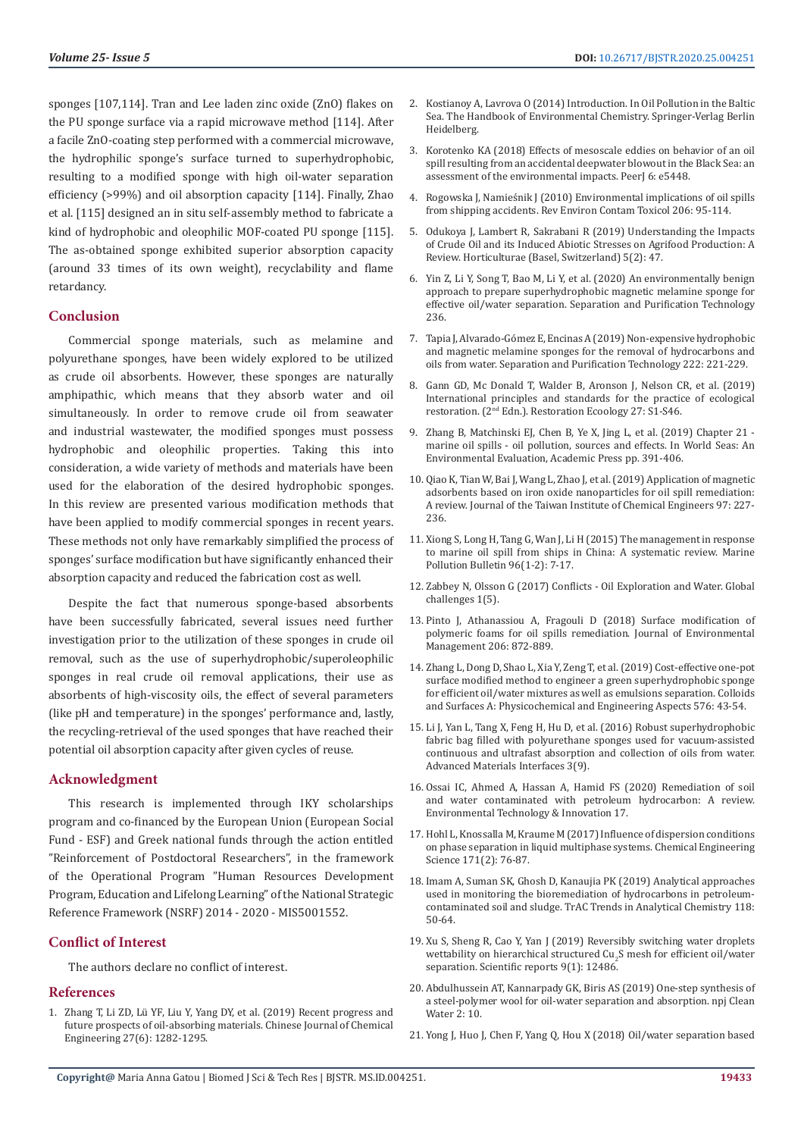sponges [107,114]. Tran and Lee laden zinc oxide (ZnO) flakes on the PU sponge surface via a rapid microwave method [114]. After a facile ZnO-coating step performed with a commercial microwave, the hydrophilic sponge's surface turned to superhydrophobic, resulting to a modified sponge with high oil-water separation efficiency (>99%) and oil absorption capacity [114]. Finally, Zhao et al. [115] designed an in situ self-assembly method to fabricate a kind of hydrophobic and oleophilic MOF-coated PU sponge [115]. The as-obtained sponge exhibited superior absorption capacity (around 33 times of its own weight), recyclability and flame retardancy.

#### **Conclusion**

Commercial sponge materials, such as melamine and polyurethane sponges, have been widely explored to be utilized as crude oil absorbents. However, these sponges are naturally amphipathic, which means that they absorb water and oil simultaneously. In order to remove crude oil from seawater and industrial wastewater, the modified sponges must possess hydrophobic and oleophilic properties. Taking this into consideration, a wide variety of methods and materials have been used for the elaboration of the desired hydrophobic sponges. In this review are presented various modification methods that have been applied to modify commercial sponges in recent years. These methods not only have remarkably simplified the process of sponges' surface modification but have significantly enhanced their absorption capacity and reduced the fabrication cost as well.

Despite the fact that numerous sponge-based absorbents have been successfully fabricated, several issues need further investigation prior to the utilization of these sponges in crude oil removal, such as the use of superhydrophobic/superoleophilic sponges in real crude oil removal applications, their use as absorbents of high-viscosity oils, the effect of several parameters (like pH and temperature) in the sponges' performance and, lastly, the recycling-retrieval of the used sponges that have reached their potential oil absorption capacity after given cycles of reuse.

#### **Acknowledgment**

This research is implemented through IKY scholarships program and co-financed by the European Union (European Social Fund - ESF) and Greek national funds through the action entitled "Reinforcement of Postdoctoral Researchers", in the framework of the Operational Program "Human Resources Development Program, Education and Lifelong Learning" of the National Strategic Reference Framework (NSRF) 2014 - 2020 - MIS5001552.

#### **Conflict of Interest**

The authors declare no conflict of interest.

#### **References**

1. [Zhang T, Li ZD, Lü YF, Liu Y, Yang DY, et al. \(2019\) Recent progress and](https://www.researchgate.net/publication/327486276_Recent_progress_and_future_prospects_of_oil-absorbing_materials)  [future prospects of oil-absorbing materials. Chinese Journal of Chemical](https://www.researchgate.net/publication/327486276_Recent_progress_and_future_prospects_of_oil-absorbing_materials)  [Engineering 27\(6\): 1282-1295.](https://www.researchgate.net/publication/327486276_Recent_progress_and_future_prospects_of_oil-absorbing_materials)

- 2. Kostianoy A, Lavrova O (2014) Introduction. In Oil Pollution in the Baltic Sea. The Handbook of Environmental Chemistry. Springer-Verlag Berlin Heidelberg.
- 3. [Korotenko KA \(2018\) Effects of mesoscale eddies on behavior of an oil](https://www.ncbi.nlm.nih.gov/pubmed/30186680) [spill resulting from an accidental deepwater blowout in the Black Sea: an](https://www.ncbi.nlm.nih.gov/pubmed/30186680) [assessment of the environmental impacts. PeerJ 6: e5448.](https://www.ncbi.nlm.nih.gov/pubmed/30186680)
- 4. [Rogowska J, Namieśnik J \(2010\) Environmental implications of oil spills](https://www.ncbi.nlm.nih.gov/pubmed/20652670) [from shipping accidents. Rev Environ Contam Toxicol 206: 95-114.](https://www.ncbi.nlm.nih.gov/pubmed/20652670)
- 5. [Odukoya J, Lambert R, Sakrabani R \(2019\) Understanding the Impacts](https://www.mdpi.com/2311-7524/5/2/47) [of Crude Oil and its Induced Abiotic Stresses on Agrifood Production: A](https://www.mdpi.com/2311-7524/5/2/47) [Review. Horticulturae \(Basel, Switzerland\) 5\(2\): 47.](https://www.mdpi.com/2311-7524/5/2/47)
- 6. [Yin Z, Li Y, Song T, Bao M, Li Y, et al. \(2020\) An environmentally benign](https://www.researchgate.net/publication/337148842_An_environmentally_benign_approach_to_prepare_superhydrophobic_magnetic_melamine_sponge_for_effective_oilwater_separation) [approach to prepare superhydrophobic magnetic melamine sponge for](https://www.researchgate.net/publication/337148842_An_environmentally_benign_approach_to_prepare_superhydrophobic_magnetic_melamine_sponge_for_effective_oilwater_separation) [effective oil/water separation. Separation and Purification Technology](https://www.researchgate.net/publication/337148842_An_environmentally_benign_approach_to_prepare_superhydrophobic_magnetic_melamine_sponge_for_effective_oilwater_separation) [236.](https://www.researchgate.net/publication/337148842_An_environmentally_benign_approach_to_prepare_superhydrophobic_magnetic_melamine_sponge_for_effective_oilwater_separation)
- 7. [Tapia J, Alvarado-Gómez E, Encinas A \(2019\) Non-expensive hydrophobic](https://www.researchgate.net/publication/332393002_Non-expensive_hydrophobic_and_magnetic_melamine_sponges_for_the_removal_of_hydrocarbons_and_oils_from_water) [and magnetic melamine sponges for the removal of hydrocarbons and](https://www.researchgate.net/publication/332393002_Non-expensive_hydrophobic_and_magnetic_melamine_sponges_for_the_removal_of_hydrocarbons_and_oils_from_water) [oils from water. Separation and Purification Technology 222: 221-229.](https://www.researchgate.net/publication/332393002_Non-expensive_hydrophobic_and_magnetic_melamine_sponges_for_the_removal_of_hydrocarbons_and_oils_from_water)
- 8. [Gann GD, Mc Donald T, Walder B, Aronson J, Nelson CR, et al. \(2019\)](https://www.ser.org/page/SERStandards/International-Standards-for-the-Practice-of-Ecological-Restoration.htm) [International principles and standards for the practice of ecological](https://www.ser.org/page/SERStandards/International-Standards-for-the-Practice-of-Ecological-Restoration.htm) restoration. (2[nd Edn.\). Restoration Ecoology 27: S1-S46.](https://www.ser.org/page/SERStandards/International-Standards-for-the-Practice-of-Ecological-Restoration.htm)
- 9. [Zhang B, Matchinski EJ, Chen B, Ye X, Jing L, et al. \(2019\) Chapter 21](https://ecampusontario.pressbooks.pub/environmentalscience/chapter/chapter-21-oil-spills/)  [marine oil spills - oil pollution, sources and effects. In World Seas: An](https://ecampusontario.pressbooks.pub/environmentalscience/chapter/chapter-21-oil-spills/) [Environmental Evaluation, Academic Press pp. 391-406.](https://ecampusontario.pressbooks.pub/environmentalscience/chapter/chapter-21-oil-spills/)
- 10. [Qiao K, Tian W, Bai J, Wang L, Zhao J, et al. \(2019\) Application of magnetic](https://www.researchgate.net/publication/331006436_Application_of_magnetic_adsorbents_based_on_iron_oxide_nanoparticles_for_oil_spill_remediation_A_review) [adsorbents based on iron oxide nanoparticles for oil spill remediation:](https://www.researchgate.net/publication/331006436_Application_of_magnetic_adsorbents_based_on_iron_oxide_nanoparticles_for_oil_spill_remediation_A_review) [A review. Journal of the Taiwan Institute of Chemical Engineers 97: 227-](https://www.researchgate.net/publication/331006436_Application_of_magnetic_adsorbents_based_on_iron_oxide_nanoparticles_for_oil_spill_remediation_A_review) [236.](https://www.researchgate.net/publication/331006436_Application_of_magnetic_adsorbents_based_on_iron_oxide_nanoparticles_for_oil_spill_remediation_A_review)
- 11. [Xiong S, Long H, Tang G, Wan J, Li H \(2015\) The management in response](https://www.ncbi.nlm.nih.gov/pubmed/26003384) [to marine oil spill from ships in China: A systematic review. Marine](https://www.ncbi.nlm.nih.gov/pubmed/26003384) [Pollution Bulletin 96\(1-2\): 7-17.](https://www.ncbi.nlm.nih.gov/pubmed/26003384)
- 12. [Zabbey N, Olsson G \(2017\) Conflicts Oil Exploration and Water. Global](https://onlinelibrary.wiley.com/doi/full/10.1002/gch2.201600015) [challenges 1\(5\).](https://onlinelibrary.wiley.com/doi/full/10.1002/gch2.201600015)
- 13. [Pinto J, Athanassiou A, Fragouli D \(2018\) Surface modification of](https://www.sciencedirect.com/science/article/pii/S0301479717311350) [polymeric foams for oil spills remediation. Journal of Environmental](https://www.sciencedirect.com/science/article/pii/S0301479717311350) [Management 206: 872-889.](https://www.sciencedirect.com/science/article/pii/S0301479717311350)
- 14. Zhang L, Dong D, Shao L, Xia Y, Zeng T, et al. (2019) Cost-effective one-pot surface modified method to engineer a green superhydrophobic sponge for efficient oil/water mixtures as well as emulsions separation. Colloids and Surfaces A: Physicochemical and Engineering Aspects 576: 43-54.
- 15. [Li J, Yan L, Tang X, Feng H, Hu D, et al. \(2016\) Robust superhydrophobic](https://onlinelibrary.wiley.com/doi/abs/10.1002/admi.201500770) [fabric bag filled with polyurethane sponges used for vacuum-assisted](https://onlinelibrary.wiley.com/doi/abs/10.1002/admi.201500770) [continuous and ultrafast absorption and collection of oils from water.](https://onlinelibrary.wiley.com/doi/abs/10.1002/admi.201500770) [Advanced Materials Interfaces 3\(9\).](https://onlinelibrary.wiley.com/doi/abs/10.1002/admi.201500770)
- 16. [Ossai IC, Ahmed A, Hassan A, Hamid FS \(2020\) Remediation of soil](https://www.sciencedirect.com/science/article/pii/S235218641830364X) [and water contaminated with petroleum hydrocarbon: A review.](https://www.sciencedirect.com/science/article/pii/S235218641830364X) [Environmental Technology & Innovation 17.](https://www.sciencedirect.com/science/article/pii/S235218641830364X)
- 17. [Hohl L, Knossalla M, Kraume M \(2017\) Influence of dispersion conditions](https://www.sciencedirect.com/science/article/pii/S0009250917303111) [on phase separation in liquid multiphase systems. Chemical Engineering](https://www.sciencedirect.com/science/article/pii/S0009250917303111) [Science 171\(2\): 76-87.](https://www.sciencedirect.com/science/article/pii/S0009250917303111)
- 18. [Imam A, Suman SK, Ghosh D, Kanaujia PK \(2019\) Analytical approaches](https://www.sciencedirect.com/science/article/abs/pii/S0165993619300020) [used in monitoring the bioremediation of hydrocarbons in petroleum](https://www.sciencedirect.com/science/article/abs/pii/S0165993619300020)[contaminated soil and sludge. TrAC Trends in Analytical Chemistry 118:](https://www.sciencedirect.com/science/article/abs/pii/S0165993619300020) [50-64.](https://www.sciencedirect.com/science/article/abs/pii/S0165993619300020)
- 19. [Xu S, Sheng R, Cao Y, Yan J \(2019\) Reversibly switching water droplets](https://www.nature.com/articles/s41598-019-48952-1) wettability on hierarchical structured  $\text{Cu}_2\text{S}$  mesh for efficient oil/water [separation. Scientific reports 9\(1\): 12486.](https://www.nature.com/articles/s41598-019-48952-1)
- 20. [Abdulhussein AT, Kannarpady GK, Biris AS \(2019\) One-step synthesis of](https://www.nature.com/articles/s41545-019-0034-1) [a steel-polymer wool for oil-water separation and absorption. npj Clean](https://www.nature.com/articles/s41545-019-0034-1) [Water 2: 10.](https://www.nature.com/articles/s41545-019-0034-1)
- 21. Yong J, Huo J, Chen F, Yang Q, Hou X (2018) Oil/water separation based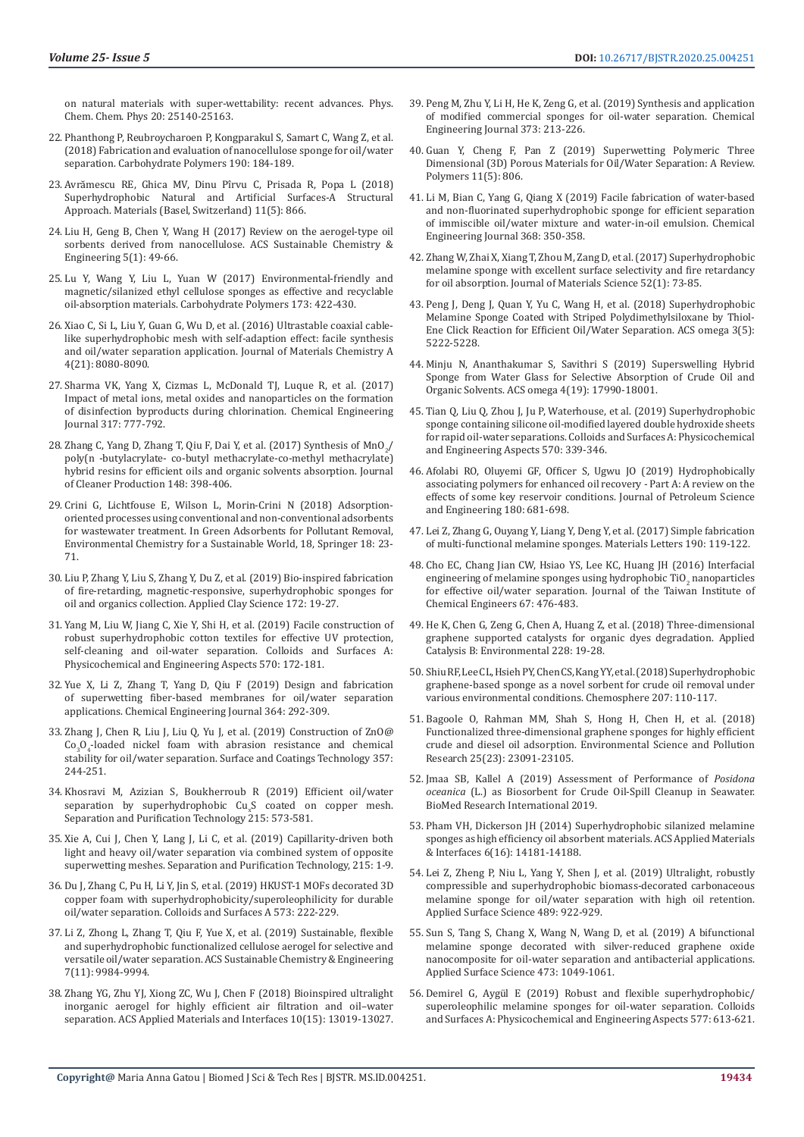on natural materials with super-wettability: recent advances. Phys. Chem. Chem. Phys 20: 25140-25163.

- 22. [Phanthong P, Reubroycharoen P, Kongparakul S, Samart C, Wang Z, et al.](https://www.sciencedirect.com/science/article/pii/S0144861718302248)  [\(2018\) Fabrication and evaluation of nanocellulose sponge for oil/water](https://www.sciencedirect.com/science/article/pii/S0144861718302248)  [separation. Carbohydrate Polymers 190: 184-189.](https://www.sciencedirect.com/science/article/pii/S0144861718302248)
- 23. Avrămescu RE, Ghica MV, Dinu P[îrvu C, Prisada R, Popa L \(2018\)](https://www.ncbi.nlm.nih.gov/pubmed/29789488)  [Superhydrophobic Natural and Artificial Surfaces-A Structural](https://www.ncbi.nlm.nih.gov/pubmed/29789488)  [Approach. Materials \(Basel, Switzerland\) 11\(5\): 866.](https://www.ncbi.nlm.nih.gov/pubmed/29789488)
- 24. [Liu H, Geng B, Chen Y, Wang H \(2017\) Review on the aerogel-type oil](https://pubs.acs.org/doi/abs/10.1021/acssuschemeng.6b02301)  [sorbents derived from nanocellulose. ACS Sustainable Chemistry &](https://pubs.acs.org/doi/abs/10.1021/acssuschemeng.6b02301)  [Engineering 5\(1\): 49-66.](https://pubs.acs.org/doi/abs/10.1021/acssuschemeng.6b02301)
- 25. [Lu Y, Wang Y, Liu L, Yuan W \(2017\) Environmental-friendly and](https://www.sciencedirect.com/science/article/pii/S014486171730646X)  [magnetic/silanized ethyl cellulose sponges as effective and recyclable](https://www.sciencedirect.com/science/article/pii/S014486171730646X)  [oil-absorption materials. Carbohydrate Polymers 173: 422-430.](https://www.sciencedirect.com/science/article/pii/S014486171730646X)
- 26. Xiao C, Si L, Liu Y, Guan G, Wu D, et al. (2016) Ultrastable coaxial cablelike superhydrophobic mesh with self-adaption effect: facile synthesis and oil/water separation application. Journal of Materials Chemistry A 4(21): 8080-8090.
- 27. [Sharma VK, Yang X, Cizmas L, McDonald TJ, Luque R, et al. \(2017\)](https://www.researchgate.net/publication/315401620_Impact_of_metal_ions_metal_oxides_and_nanoparticles_on_the_formation_of_disinfection_byproducts_during_chlorination)  [Impact of metal ions, metal oxides and nanoparticles on the formation](https://www.researchgate.net/publication/315401620_Impact_of_metal_ions_metal_oxides_and_nanoparticles_on_the_formation_of_disinfection_byproducts_during_chlorination)  [of disinfection byproducts during chlorination. Chemical Engineering](https://www.researchgate.net/publication/315401620_Impact_of_metal_ions_metal_oxides_and_nanoparticles_on_the_formation_of_disinfection_byproducts_during_chlorination)  [Journal 317: 777-792.](https://www.researchgate.net/publication/315401620_Impact_of_metal_ions_metal_oxides_and_nanoparticles_on_the_formation_of_disinfection_byproducts_during_chlorination)
- 28. Zhang C, Yang D, Zhang T, Qiu F, Dai Y, et al. (2017) Synthesis of  $MnO_2/$ [poly\(n -butylacrylate- co-butyl methacrylate-co-methyl methacrylate\)](https://pubag.nal.usda.gov/catalog/5628347)  [hybrid resins for efficient oils and organic solvents absorption. Journal](https://pubag.nal.usda.gov/catalog/5628347)  [of Cleaner Production 148: 398-406.](https://pubag.nal.usda.gov/catalog/5628347)
- 29. [Crini G, Lichtfouse E, Wilson L, Morin-Crini N \(2018\) Adsorption](https://link.springer.com/chapter/10.1007/978-3-319-92111-2_2)[oriented processes using conventional and non-conventional adsorbents](https://link.springer.com/chapter/10.1007/978-3-319-92111-2_2)  [for wastewater treatment. In Green Adsorbents for Pollutant Removal,](https://link.springer.com/chapter/10.1007/978-3-319-92111-2_2)  [Environmental Chemistry for a Sustainable World, 18, Springer 18: 23-](https://link.springer.com/chapter/10.1007/978-3-319-92111-2_2) [71.](https://link.springer.com/chapter/10.1007/978-3-319-92111-2_2)
- 30. [Liu P, Zhang Y, Liu S, Zhang Y, Du Z, et al. \(2019\) Bio-inspired fabrication](https://www.sciencedirect.com/science/article/pii/S0169131719300559)  [of fire-retarding, magnetic-responsive, superhydrophobic sponges for](https://www.sciencedirect.com/science/article/pii/S0169131719300559)  [oil and organics collection. Applied Clay Science 172: 19-27.](https://www.sciencedirect.com/science/article/pii/S0169131719300559)
- 31. [Yang M, Liu W, Jiang C, Xie Y, Shi H, et al. \(2019\) Facile construction of](https://www.researchgate.net/publication/331656234_Facile_construction_of_robust_superhydrophobic_cotton_textiles_for_effective_UV_protection_self-cleaning_and_oil-water_separation)  [robust superhydrophobic cotton textiles for effective UV protection,](https://www.researchgate.net/publication/331656234_Facile_construction_of_robust_superhydrophobic_cotton_textiles_for_effective_UV_protection_self-cleaning_and_oil-water_separation)  [self-cleaning and oil-water separation. Colloids and Surfaces A:](https://www.researchgate.net/publication/331656234_Facile_construction_of_robust_superhydrophobic_cotton_textiles_for_effective_UV_protection_self-cleaning_and_oil-water_separation)  [Physicochemical and Engineering Aspects 570: 172-181.](https://www.researchgate.net/publication/331656234_Facile_construction_of_robust_superhydrophobic_cotton_textiles_for_effective_UV_protection_self-cleaning_and_oil-water_separation)
- 32. [Yue X, Li Z, Zhang T, Yang D, Qiu F \(2019\) Design and fabrication](https://www.researchgate.net/publication/330677555_Design_and_fabrication_of_superwetting_fiber-based_membranes_for_oilwater_separation_applications)  [of superwetting fiber-based membranes for oil/water separation](https://www.researchgate.net/publication/330677555_Design_and_fabrication_of_superwetting_fiber-based_membranes_for_oilwater_separation_applications)  [applications. Chemical Engineering Journal 364: 292-309.](https://www.researchgate.net/publication/330677555_Design_and_fabrication_of_superwetting_fiber-based_membranes_for_oilwater_separation_applications)
- 33. [Zhang J, Chen R, Liu J, Liu Q, Yu J, et al. \(2019\) Construction of ZnO@](https://www.researchgate.net/publication/327737987_Construction_of_ZnOCo3O4-loaded_nickel_foam_with_abrasion_resistance_and_chemical_stability_for_oilwater_separation)  $Co<sub>3</sub>O<sub>4</sub>$ -loaded nickel foam with abrasion resistance and chemical [stability for oil/water separation. Surface and Coatings Technology 357:](https://www.researchgate.net/publication/327737987_Construction_of_ZnOCo3O4-loaded_nickel_foam_with_abrasion_resistance_and_chemical_stability_for_oilwater_separation)  [244-251.](https://www.researchgate.net/publication/327737987_Construction_of_ZnOCo3O4-loaded_nickel_foam_with_abrasion_resistance_and_chemical_stability_for_oilwater_separation)
- 34. [Khosravi M, Azizian S, Boukherroub R \(2019\) Efficient oil/water](https://www.sciencedirect.com/science/article/pii/S1383586618334270)  separation by superhydrophobic Cu<sub>x</sub>S coated on copper mesh. [Separation and Purification Technology 215: 573-581.](https://www.sciencedirect.com/science/article/pii/S1383586618334270)
- 35. [Xie A, Cui J, Chen Y, Lang J, Li C, et al. \(2019\) Capillarity-driven both](https://www.researchgate.net/publication/329974139_Capillarity-driven_both_light_and_heavy_oilwater_separation_via_combined_system_of_opposite_superwetting_meshes)  [light and heavy oil/water separation via combined system of opposite](https://www.researchgate.net/publication/329974139_Capillarity-driven_both_light_and_heavy_oilwater_separation_via_combined_system_of_opposite_superwetting_meshes)  [superwetting meshes. Separation and Purification Technology, 215: 1-9.](https://www.researchgate.net/publication/329974139_Capillarity-driven_both_light_and_heavy_oilwater_separation_via_combined_system_of_opposite_superwetting_meshes)
- 36. [Du J, Zhang C, Pu H, Li Y, Jin S, et al. \(2019\) HKUST-1 MOFs decorated 3D](https://www.sciencedirect.com/science/article/abs/pii/S092777571930370X)  [copper foam with superhydrophobicity/superoleophilicity for durable](https://www.sciencedirect.com/science/article/abs/pii/S092777571930370X)  [oil/water separation. Colloids and Surfaces A 573: 222-229.](https://www.sciencedirect.com/science/article/abs/pii/S092777571930370X)
- 37. [Li Z, Zhong L, Zhang T, Qiu F, Yue X, et al. \(2019\) Sustainable, flexible](https://pubs.acs.org/doi/10.1021/acssuschemeng.9b01122)  [and superhydrophobic functionalized cellulose aerogel for selective and](https://pubs.acs.org/doi/10.1021/acssuschemeng.9b01122)  [versatile oil/water separation. ACS Sustainable Chemistry & Engineering](https://pubs.acs.org/doi/10.1021/acssuschemeng.9b01122)  [7\(11\): 9984-9994.](https://pubs.acs.org/doi/10.1021/acssuschemeng.9b01122)
- 38. [Zhang YG, Zhu YJ, Xiong ZC, Wu J, Chen F \(2018\) Bioinspired ultralight](https://pubs.acs.org/doi/10.1021/acsami.8b02081)  [inorganic aerogel for highly efficient air filtration and oil–water](https://pubs.acs.org/doi/10.1021/acsami.8b02081)  [separation. ACS Applied Materials and Interfaces 10\(15\): 13019-13027.](https://pubs.acs.org/doi/10.1021/acsami.8b02081)
- 39. [Peng M, Zhu Y, Li H, He K, Zeng G, et al. \(2019\) Synthesis and application](https://www.sciencedirect.com/science/article/pii/S1385894719310277) [of modified commercial sponges for oil-water separation. Chemical](https://www.sciencedirect.com/science/article/pii/S1385894719310277) [Engineering Journal 373: 213-226.](https://www.sciencedirect.com/science/article/pii/S1385894719310277)
- 40. [Guan Y, Cheng F, Pan Z \(2019\) Superwetting Polymeric Three](https://www.ncbi.nlm.nih.gov/pubmed/31064062) [Dimensional \(3D\) Porous Materials for Oil/Water Separation: A Review.](https://www.ncbi.nlm.nih.gov/pubmed/31064062) [Polymers 11\(5\): 806.](https://www.ncbi.nlm.nih.gov/pubmed/31064062)
- 41. [Li M, Bian C, Yang G, Qiang X \(2019\) Facile fabrication of water-based](https://www.sciencedirect.com/science/article/pii/S1385894719304243) [and non-fluorinated superhydrophobic sponge for efficient separation](https://www.sciencedirect.com/science/article/pii/S1385894719304243) [of immiscible oil/water mixture and water-in-oil emulsion. Chemical](https://www.sciencedirect.com/science/article/pii/S1385894719304243) [Engineering Journal 368: 350-358.](https://www.sciencedirect.com/science/article/pii/S1385894719304243)
- 42. [Zhang W, Zhai X, Xiang T, Zhou M, Zang D, et al. \(2017\) Superhydrophobic](https://link.springer.com/article/10.1007/s10853-016-0235-7) [melamine sponge with excellent surface selectivity and fire retardancy](https://link.springer.com/article/10.1007/s10853-016-0235-7) [for oil absorption. Journal of Materials Science 52\(1\): 73-85.](https://link.springer.com/article/10.1007/s10853-016-0235-7)
- 43. [Peng J, Deng J, Quan Y, Yu C, Wang H, et al. \(2018\) Superhydrophobic](https://pubs.acs.org/doi/abs/10.1021/acsomega.8b00373) [Melamine Sponge Coated with Striped Polydimethylsiloxane by Thiol-](https://pubs.acs.org/doi/abs/10.1021/acsomega.8b00373)[Ene Click Reaction for Efficient Oil/Water Separation. ACS omega 3\(5\):](https://pubs.acs.org/doi/abs/10.1021/acsomega.8b00373) [5222-5228.](https://pubs.acs.org/doi/abs/10.1021/acsomega.8b00373)
- 44. [Minju N, Ananthakumar S, Savithri S \(2019\) Superswelling Hybrid](https://www.researchgate.net/publication/336538857_Superswelling_Hybrid_Sponge_from_Water_Glass_for_Selective_Absorption_of_Crude_Oil_and_Organic_Solvents) [Sponge from Water Glass for Selective Absorption of Crude Oil and](https://www.researchgate.net/publication/336538857_Superswelling_Hybrid_Sponge_from_Water_Glass_for_Selective_Absorption_of_Crude_Oil_and_Organic_Solvents) [Organic Solvents. ACS omega 4\(19\): 17990-18001.](https://www.researchgate.net/publication/336538857_Superswelling_Hybrid_Sponge_from_Water_Glass_for_Selective_Absorption_of_Crude_Oil_and_Organic_Solvents)
- 45. [Tian Q, Liu Q, Zhou J, Ju P, Waterhouse, et al. \(2019\) Superhydrophobic](https://www.researchgate.net/publication/331752676_Superhydrophobic_sponge_containing_silicone_oil-modified_layered_double_hydroxide_sheets_for_rapid_oil-water_separations) [sponge containing silicone oil-modified layered double hydroxide sheets](https://www.researchgate.net/publication/331752676_Superhydrophobic_sponge_containing_silicone_oil-modified_layered_double_hydroxide_sheets_for_rapid_oil-water_separations) [for rapid oil-water separations. Colloids and Surfaces A: Physicochemical](https://www.researchgate.net/publication/331752676_Superhydrophobic_sponge_containing_silicone_oil-modified_layered_double_hydroxide_sheets_for_rapid_oil-water_separations) [and Engineering Aspects 570: 339-346.](https://www.researchgate.net/publication/331752676_Superhydrophobic_sponge_containing_silicone_oil-modified_layered_double_hydroxide_sheets_for_rapid_oil-water_separations)
- 46. [Afolabi RO, Oluyemi GF, Officer S, Ugwu JO \(2019\) Hydrophobically](https://www.sciencedirect.com/science/article/abs/pii/S0920410519305649) [associating polymers for enhanced oil recovery - Part A: A review on the](https://www.sciencedirect.com/science/article/abs/pii/S0920410519305649) [effects of some key reservoir conditions. Journal of Petroleum Science](https://www.sciencedirect.com/science/article/abs/pii/S0920410519305649) [and Engineering 180: 681-698.](https://www.sciencedirect.com/science/article/abs/pii/S0920410519305649)
- 47. [Lei Z, Zhang G, Ouyang Y, Liang Y, Deng Y, et al. \(2017\) Simple fabrication](https://www.researchgate.net/publication/311936156_Simple_fabrication_of_multi-functional_melamine_sponges) [of multi-functional melamine sponges. Materials Letters 190: 119-122.](https://www.researchgate.net/publication/311936156_Simple_fabrication_of_multi-functional_melamine_sponges)
- 48. [Cho EC, Chang Jian CW, Hsiao YS, Lee KC, Huang JH \(2016\) Interfacial](https://www.sciencedirect.com/science/article/abs/pii/S1876107016302772) engineering of melamine sponges using hydrophobic  $\Gamma$ i $O_2$  nanoparticles [for effective oil/water separation. Journal of the Taiwan Institute of](https://www.sciencedirect.com/science/article/abs/pii/S1876107016302772) [Chemical Engineers 67: 476-483.](https://www.sciencedirect.com/science/article/abs/pii/S1876107016302772)
- 49. [He K, Chen G, Zeng G, Chen A, Huang Z, et al. \(2018\) Three-dimensional](https://www.sciencedirect.com/science/article/abs/pii/S0926337318300870) [graphene supported catalysts for organic dyes degradation. Applied](https://www.sciencedirect.com/science/article/abs/pii/S0926337318300870) [Catalysis B: Environmental 228: 19-28.](https://www.sciencedirect.com/science/article/abs/pii/S0926337318300870)
- 50. [Shiu RF, Lee CL, Hsieh PY, Chen CS, Kang YY, et al. \(2018\) Superhydrophobic](https://www.researchgate.net/publication/325150793_Superhydrophobic_graphene-based_sponge_as_a_novel_sorbent_for_crude_oil_removal_under_various_environmental_conditions) [graphene-based sponge as a novel sorbent for crude oil removal under](https://www.researchgate.net/publication/325150793_Superhydrophobic_graphene-based_sponge_as_a_novel_sorbent_for_crude_oil_removal_under_various_environmental_conditions) [various environmental conditions. Chemosphere 207: 110-117.](https://www.researchgate.net/publication/325150793_Superhydrophobic_graphene-based_sponge_as_a_novel_sorbent_for_crude_oil_removal_under_various_environmental_conditions)
- 51. [Bagoole O, Rahman MM, Shah S, Hong H, Chen H, et al. \(2018\)](https://link.springer.com/article/10.1007/s11356-018-2248-z) [Functionalized three-dimensional graphene sponges for highly efficient](https://link.springer.com/article/10.1007/s11356-018-2248-z) [crude and diesel oil adsorption. Environmental Science and Pollution](https://link.springer.com/article/10.1007/s11356-018-2248-z) [Research 25\(23\): 23091-23105.](https://link.springer.com/article/10.1007/s11356-018-2248-z)
- 52. [Jmaa SB, Kallel A \(2019\) Assessment of Performance of](https://www.hindawi.com/journals/bmri/2019/6029654/) *Posidona oceanica* [\(L.\) as Biosorbent for Crude Oil-Spill Cleanup in Seawater.](https://www.hindawi.com/journals/bmri/2019/6029654/) [BioMed Research International 2019.](https://www.hindawi.com/journals/bmri/2019/6029654/)
- 53. [Pham VH, Dickerson JH \(2014\) Superhydrophobic silanized melamine](https://pubs.acs.org/doi/10.1021/am503503m) [sponges as high efficiency oil absorbent materials. ACS Applied Materials](https://pubs.acs.org/doi/10.1021/am503503m) [& Interfaces 6\(16\): 14181-14188.](https://pubs.acs.org/doi/10.1021/am503503m)
- 54. [Lei Z, Zheng P, Niu L, Yang Y, Shen J, et al. \(2019\) Ultralight, robustly](https://www.sciencedirect.com/science/article/abs/pii/S0169433219317192) [compressible and superhydrophobic biomass-decorated carbonaceous](https://www.sciencedirect.com/science/article/abs/pii/S0169433219317192) [melamine sponge for oil/water separation with high oil retention.](https://www.sciencedirect.com/science/article/abs/pii/S0169433219317192) [Applied Surface Science 489: 922-929.](https://www.sciencedirect.com/science/article/abs/pii/S0169433219317192)
- 55. [Sun S, Tang S, Chang X, Wang N, Wang D, et al. \(2019\) A bifunctional](https://www.researchgate.net/publication/329917822_A_bifunctional_melamine_sponge_decorated_with_silver-reduced_graphene_oxide_nanocomposite_for_oil-water_separation_and_antibacterial_applications) [melamine sponge decorated with silver-reduced graphene oxide](https://www.researchgate.net/publication/329917822_A_bifunctional_melamine_sponge_decorated_with_silver-reduced_graphene_oxide_nanocomposite_for_oil-water_separation_and_antibacterial_applications) [nanocomposite for oil-water separation and antibacterial applications.](https://www.researchgate.net/publication/329917822_A_bifunctional_melamine_sponge_decorated_with_silver-reduced_graphene_oxide_nanocomposite_for_oil-water_separation_and_antibacterial_applications) [Applied Surface Science 473: 1049-1061.](https://www.researchgate.net/publication/329917822_A_bifunctional_melamine_sponge_decorated_with_silver-reduced_graphene_oxide_nanocomposite_for_oil-water_separation_and_antibacterial_applications)
- 56. [Demirel G, Aygül E \(2019\) Robust and flexible superhydrophobic/](https://www.sciencedirect.com/science/article/abs/pii/S0927775719305035) [superoleophilic melamine sponges for oil-water separation. Colloids](https://www.sciencedirect.com/science/article/abs/pii/S0927775719305035) [and Surfaces A: Physicochemical and Engineering Aspects 577: 613-621.](https://www.sciencedirect.com/science/article/abs/pii/S0927775719305035)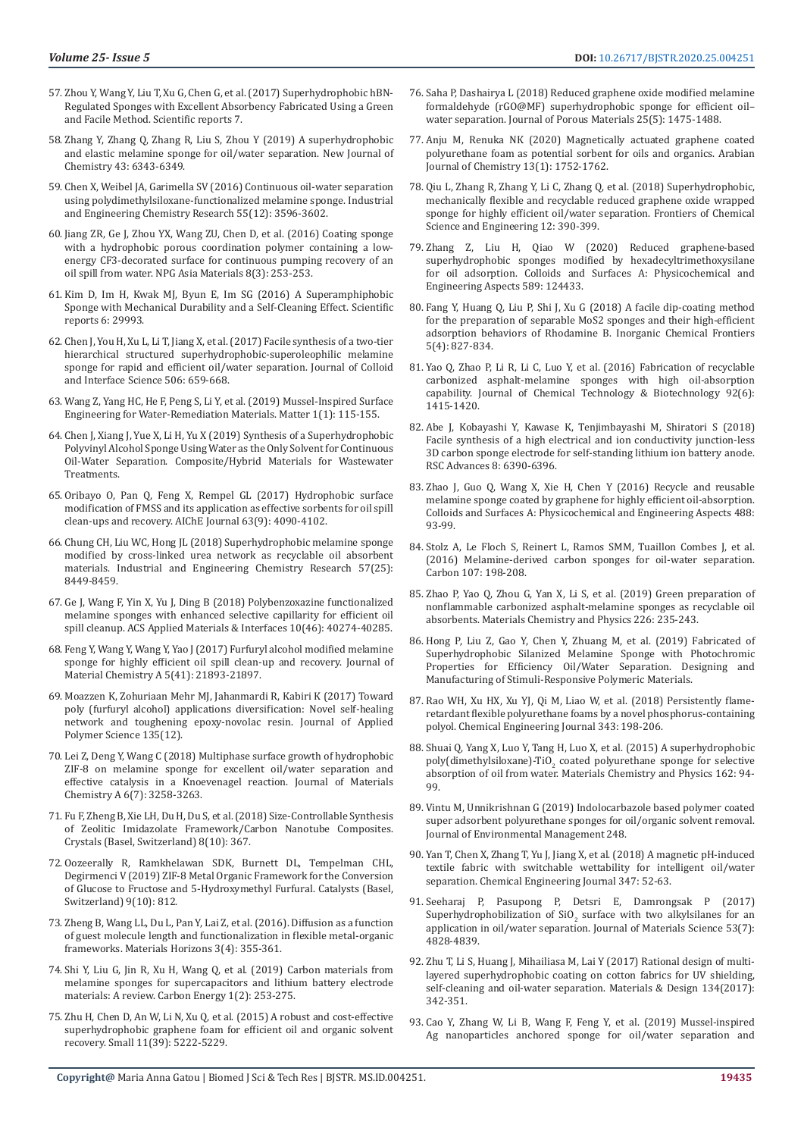- 57. [Zhou Y, Wang Y, Liu T, Xu G, Chen G, et al. \(2017\) Superhydrophobic hBN-](https://www.nature.com/articles/srep45065)[Regulated Sponges with Excellent Absorbency Fabricated Using a Green](https://www.nature.com/articles/srep45065)  [and Facile Method. Scientific reports 7.](https://www.nature.com/articles/srep45065)
- 58. Zhang Y, Zhang Q, Zhang R, Liu S, Zhou Y (2019) A superhydrophobic and elastic melamine sponge for oil/water separation. New Journal of Chemistry 43: 6343-6349.
- 59. [Chen X, Weibel JA, Garimella SV \(2016\) Continuous oil-water separation](https://pubs.acs.org/doi/10.1021/acs.iecr.6b00234)  [using polydimethylsiloxane-functionalized melamine sponge. Industrial](https://pubs.acs.org/doi/10.1021/acs.iecr.6b00234)  [and Engineering Chemistry Research 55\(12\): 3596-3602.](https://pubs.acs.org/doi/10.1021/acs.iecr.6b00234)
- 60. [Jiang ZR, Ge J, Zhou YX, Wang ZU, Chen D, et al. \(2016\) Coating sponge](https://www.nature.com/articles/am201622)  [with a hydrophobic porous coordination polymer containing a low](https://www.nature.com/articles/am201622)[energy CF3-decorated surface for continuous pumping recovery of an](https://www.nature.com/articles/am201622)  [oil spill from water. NPG Asia Materials 8\(3\): 253-253.](https://www.nature.com/articles/am201622)
- 61. [Kim D, Im H, Kwak MJ, Byun E, Im SG \(2016\) A Superamphiphobic](https://www.nature.com/articles/srep29993)  [Sponge with Mechanical Durability and a Self-Cleaning Effect. Scientific](https://www.nature.com/articles/srep29993)  [reports 6: 29993.](https://www.nature.com/articles/srep29993)
- 62. [Chen J, You H, Xu L, Li T, Jiang X, et al. \(2017\) Facile synthesis of a two-tier](https://www.ncbi.nlm.nih.gov/pubmed/28763770)  [hierarchical structured superhydrophobic-superoleophilic melamine](https://www.ncbi.nlm.nih.gov/pubmed/28763770)  [sponge for rapid and efficient oil/water separation. Journal of Colloid](https://www.ncbi.nlm.nih.gov/pubmed/28763770)  [and Interface Science 506: 659-668.](https://www.ncbi.nlm.nih.gov/pubmed/28763770)
- 63. [Wang Z, Yang HC, He F, Peng S, Li Y, et al. \(2019\) Mussel-Inspired Surface](https://www.researchgate.net/publication/334379884_Mussel-Inspired_Surface_Engineering_for_Water-Remediation_Materials)  [Engineering for Water-Remediation Materials. Matter 1\(1\): 115-155.](https://www.researchgate.net/publication/334379884_Mussel-Inspired_Surface_Engineering_for_Water-Remediation_Materials)
- 64. [Chen J, Xiang J, Yue X, Li H, Yu X \(2019\) Synthesis of a Superhydrophobic](https://www.hindawi.com/journals/jchem/2019/7153109/)  [Polyvinyl Alcohol Sponge Using Water as the Only Solvent for Continuous](https://www.hindawi.com/journals/jchem/2019/7153109/)  [Oil-Water Separation. Composite/Hybrid Materials for Wastewater](https://www.hindawi.com/journals/jchem/2019/7153109/)  [Treatments.](https://www.hindawi.com/journals/jchem/2019/7153109/)
- 65. [Oribayo O, Pan Q, Feng X, Rempel GL \(2017\) Hydrophobic surface](https://aiche.onlinelibrary.wiley.com/doi/abs/10.1002/aic.15767)  [modification of FMSS and its application as effective sorbents for oil spill](https://aiche.onlinelibrary.wiley.com/doi/abs/10.1002/aic.15767)  [clean-ups and recovery. AIChE Journal 63\(9\): 4090-4102.](https://aiche.onlinelibrary.wiley.com/doi/abs/10.1002/aic.15767)
- 66. [Chung CH, Liu WC, Hong JL \(2018\) Superhydrophobic melamine sponge](https://pubs.acs.org/doi/10.1021/acs.iecr.8b01595)  [modified by cross-linked urea network as recyclable oil absorbent](https://pubs.acs.org/doi/10.1021/acs.iecr.8b01595)  [materials. Industrial and Engineering Chemistry Research 57\(25\):](https://pubs.acs.org/doi/10.1021/acs.iecr.8b01595)  [8449-8459.](https://pubs.acs.org/doi/10.1021/acs.iecr.8b01595)
- 67. [Ge J, Wang F, Yin X, Yu J, Ding B \(2018\) Polybenzoxazine functionalized](https://pubs.acs.org/doi/10.1021/acsami.8b14052)  [melamine sponges with enhanced selective capillarity for efficient oil](https://pubs.acs.org/doi/10.1021/acsami.8b14052)  [spill cleanup. ACS Applied Materials & Interfaces 10\(46\): 40274-40285.](https://pubs.acs.org/doi/10.1021/acsami.8b14052)
- 68. [Feng Y, Wang Y, Wang Y, Yao J \(2017\) Furfuryl alcohol modified melamine](https://www.researchgate.net/publication/320028752_Furfuryl_alcohol_modified_melamine_sponge_for_high-efficient_oil_spill_clean-up_and_recovery)  [sponge for highly efficient oil spill clean-up and recovery. Journal of](https://www.researchgate.net/publication/320028752_Furfuryl_alcohol_modified_melamine_sponge_for_high-efficient_oil_spill_clean-up_and_recovery)  [Material Chemistry A 5\(41\): 21893-21897.](https://www.researchgate.net/publication/320028752_Furfuryl_alcohol_modified_melamine_sponge_for_high-efficient_oil_spill_clean-up_and_recovery)
- 69. [Moazzen K, Zohuriaan Mehr MJ, Jahanmardi R, Kabiri K \(2017\) Toward](https://onlinelibrary.wiley.com/doi/abs/10.1002/app.45921)  [poly \(furfuryl alcohol\) applications diversification: Novel self-healing](https://onlinelibrary.wiley.com/doi/abs/10.1002/app.45921)  [network and toughening epoxy-novolac resin. Journal of Applied](https://onlinelibrary.wiley.com/doi/abs/10.1002/app.45921)  [Polymer Science 135\(12\).](https://onlinelibrary.wiley.com/doi/abs/10.1002/app.45921)
- 70. Lei Z, Deng Y, Wang C (2018) Multiphase surface growth of hydrophobic ZIF-8 on melamine sponge for excellent oil/water separation and effective catalysis in a Knoevenagel reaction. Journal of Materials Chemistry A 6(7): 3258-3263.
- 71. [Fu F, Zheng B, Xie LH, Du H, Du S, et al. \(2018\) Size-Controllable Synthesis](https://www.mdpi.com/2073-4352/8/10/367)  [of Zeolitic Imidazolate Framework/Carbon Nanotube Composites.](https://www.mdpi.com/2073-4352/8/10/367)  [Crystals \(Basel, Switzerland\) 8\(10\): 367.](https://www.mdpi.com/2073-4352/8/10/367)
- 72. [Oozeerally R, Ramkhelawan SDK, Burnett DL, Tempelman CHL,](https://www.mdpi.com/2073-4344/9/10/812)  [Degirmenci V \(2019\) ZIF-8 Metal Organic Framework for the Conversion](https://www.mdpi.com/2073-4344/9/10/812)  [of Glucose to Fructose and 5-Hydroxymethyl Furfural. Catalysts \(Basel,](https://www.mdpi.com/2073-4344/9/10/812)  [Switzerland\) 9\(10\): 812.](https://www.mdpi.com/2073-4344/9/10/812)
- 73. Zheng B, Wang LL, Du L, Pan Y, Lai Z, et al. (2016). Diffusion as a function of guest molecule length and functionalization in flexible metal-organic frameworks. Materials Horizons 3(4): 355-361.
- 74. [Shi Y, Liu G, Jin R, Xu H, Wang Q, et al. \(2019\) Carbon materials from](https://onlinelibrary.wiley.com/doi/full/10.1002/cey2.19)  [melamine sponges for supercapacitors and lithium battery electrode](https://onlinelibrary.wiley.com/doi/full/10.1002/cey2.19)  [materials: A review. Carbon Energy 1\(2\): 253-275.](https://onlinelibrary.wiley.com/doi/full/10.1002/cey2.19)
- 75. [Zhu H, Chen D, An W, Li N, Xu Q, et al. \(2015\) A robust and cost-effective](https://www.researchgate.net/publication/281058287_A_Robust_and_Cost-Effective_Superhydrophobic_Graphene_Foam_for_Efficient_Oil_and_Organic_Solvent_Recovery)  [superhydrophobic graphene foam for efficient oil and organic solvent](https://www.researchgate.net/publication/281058287_A_Robust_and_Cost-Effective_Superhydrophobic_Graphene_Foam_for_Efficient_Oil_and_Organic_Solvent_Recovery)  [recovery. Small 11\(39\): 5222-5229.](https://www.researchgate.net/publication/281058287_A_Robust_and_Cost-Effective_Superhydrophobic_Graphene_Foam_for_Efficient_Oil_and_Organic_Solvent_Recovery)
- 76. [Saha P, Dashairya L \(2018\) Reduced graphene oxide modified melamine](https://link.springer.com/article/10.1007/s10934-018-0560-0) [formaldehyde \(rGO@MF\) superhydrophobic sponge for efficient oil–](https://link.springer.com/article/10.1007/s10934-018-0560-0) [water separation. Journal of Porous Materials 25\(5\): 1475-1488.](https://link.springer.com/article/10.1007/s10934-018-0560-0)
- 77. [Anju M, Renuka NK \(2020\) Magnetically actuated graphene coated](https://www.sciencedirect.com/science/article/pii/S1878535218300212) [polyurethane foam as potential sorbent for oils and organics. Arabian](https://www.sciencedirect.com/science/article/pii/S1878535218300212) [Journal of Chemistry 13\(1\): 1752-1762.](https://www.sciencedirect.com/science/article/pii/S1878535218300212)
- 78. [Qiu L, Zhang R, Zhang Y, Li C, Zhang Q, et al. \(2018\) Superhydrophobic,](https://link.springer.com/article/10.1007/s11705-018-1751-6) [mechanically flexible and recyclable reduced graphene oxide wrapped](https://link.springer.com/article/10.1007/s11705-018-1751-6) [sponge for highly efficient oil/water separation. Frontiers of Chemical](https://link.springer.com/article/10.1007/s11705-018-1751-6) [Science and Engineering 12: 390-399.](https://link.springer.com/article/10.1007/s11705-018-1751-6)
- 79. [Zhang Z, Liu H, Qiao W \(2020\) Reduced graphene-based](https://www.researchgate.net/publication/338495146_Reduced_Graphene-based_Superhydrophobic_Sponges_Modified_by_Hexadecyltrimethoxysilane_for_Oil_Adsorption) [superhydrophobic sponges modified by hexadecyltrimethoxysilane](https://www.researchgate.net/publication/338495146_Reduced_Graphene-based_Superhydrophobic_Sponges_Modified_by_Hexadecyltrimethoxysilane_for_Oil_Adsorption) [for oil adsorption. Colloids and Surfaces A: Physicochemical and](https://www.researchgate.net/publication/338495146_Reduced_Graphene-based_Superhydrophobic_Sponges_Modified_by_Hexadecyltrimethoxysilane_for_Oil_Adsorption) [Engineering Aspects 589: 124433.](https://www.researchgate.net/publication/338495146_Reduced_Graphene-based_Superhydrophobic_Sponges_Modified_by_Hexadecyltrimethoxysilane_for_Oil_Adsorption)
- 80. Fang Y, Huang Q, Liu P, Shi J, Xu G (2018) A facile dip-coating method for the preparation of separable MoS2 sponges and their high-efficient adsorption behaviors of Rhodamine B. Inorganic Chemical Frontiers 5(4): 827-834.
- 81. [Yao Q, Zhao P, Li R, Li C, Luo Y, et al. \(2016\) Fabrication of recyclable](https://onlinelibrary.wiley.com/doi/abs/10.1002/jctb.5137) [carbonized asphalt-melamine sponges with high oil-absorption](https://onlinelibrary.wiley.com/doi/abs/10.1002/jctb.5137) [capability. Journal of Chemical Technology & Biotechnology 92\(6\):](https://onlinelibrary.wiley.com/doi/abs/10.1002/jctb.5137) [1415-1420.](https://onlinelibrary.wiley.com/doi/abs/10.1002/jctb.5137)
- 82. Abe J, Kobayashi Y, Kawase K, Tenjimbayashi M, Shiratori S (2018) Facile synthesis of a high electrical and ion conductivity junction-less 3D carbon sponge electrode for self-standing lithium ion battery anode. RSC Advances 8: 6390-6396.
- 83. [Zhao J, Guo Q, Wang X, Xie H, Chen Y \(2016\) Recycle and reusable](https://www.researchgate.net/publication/283281131_Recycle_and_reusable_melamine_sponge_coated_by_graphene_for_highly_efficient_oil-absorption) [melamine sponge coated by graphene for highly efficient oil-absorption.](https://www.researchgate.net/publication/283281131_Recycle_and_reusable_melamine_sponge_coated_by_graphene_for_highly_efficient_oil-absorption) [Colloids and Surfaces A: Physicochemical and Engineering Aspects 488:](https://www.researchgate.net/publication/283281131_Recycle_and_reusable_melamine_sponge_coated_by_graphene_for_highly_efficient_oil-absorption) [93-99.](https://www.researchgate.net/publication/283281131_Recycle_and_reusable_melamine_sponge_coated_by_graphene_for_highly_efficient_oil-absorption)
- 84. [Stolz A, Le Floch S, Reinert L, Ramos SMM, Tuaillon Combes J, et al.](https://www.researchgate.net/publication/303713411_Melamine-derived_carbon_sponges_for_oil-water_separation) [\(2016\) Melamine-derived carbon sponges for oil-water separation.](https://www.researchgate.net/publication/303713411_Melamine-derived_carbon_sponges_for_oil-water_separation) [Carbon 107: 198-208.](https://www.researchgate.net/publication/303713411_Melamine-derived_carbon_sponges_for_oil-water_separation)
- 85. [Zhao P, Yao Q, Zhou G, Yan X, Li S, et al. \(2019\) Green preparation of](https://www.researchgate.net/publication/330464258_Green_preparation_of_nonflammable_carbonized_asphalt-melamine_sponges_as_recyclable_oil_absorbents) [nonflammable carbonized asphalt-melamine sponges as recyclable oil](https://www.researchgate.net/publication/330464258_Green_preparation_of_nonflammable_carbonized_asphalt-melamine_sponges_as_recyclable_oil_absorbents) [absorbents. Materials Chemistry and Physics 226: 235-243.](https://www.researchgate.net/publication/330464258_Green_preparation_of_nonflammable_carbonized_asphalt-melamine_sponges_as_recyclable_oil_absorbents)
- 86. [Hong P, Liu Z, Gao Y, Chen Y, Zhuang M, et al. \(2019\) Fabricated of](https://www.hindawi.com/journals/apt/2019/9536320/) [Superhydrophobic Silanized Melamine Sponge with Photochromic](https://www.hindawi.com/journals/apt/2019/9536320/) [Properties for Efficiency Oil/Water Separation. Designing and](https://www.hindawi.com/journals/apt/2019/9536320/) [Manufacturing of Stimuli-Responsive Polymeric Materials.](https://www.hindawi.com/journals/apt/2019/9536320/)
- 87. [Rao WH, Xu HX, Xu YJ, Qi M, Liao W, et al. \(2018\) Persistently flame](https://www.researchgate.net/publication/323544680_Persistently_flame-retardant_flexible_polyurethane_foams_by_a_novel_phosphorus-containing_polyol)[retardant flexible polyurethane foams by a novel phosphorus-containing](https://www.researchgate.net/publication/323544680_Persistently_flame-retardant_flexible_polyurethane_foams_by_a_novel_phosphorus-containing_polyol) [polyol. Chemical Engineering Journal 343: 198-206.](https://www.researchgate.net/publication/323544680_Persistently_flame-retardant_flexible_polyurethane_foams_by_a_novel_phosphorus-containing_polyol)
- 88. [Shuai Q, Yang X, Luo Y, Tang H, Luo X, et al. \(2015\) A superhydrophobic](https://www.researchgate.net/publication/282627763_A_superhydrophobic_polydimethylsiloxane-TiO2_coated_polyurethane_sponge_for_selective_absorption_of_oil_from_water) poly(dimethylsiloxane)-TiO<sub>2</sub> [coated polyurethane sponge for selective](https://www.researchgate.net/publication/282627763_A_superhydrophobic_polydimethylsiloxane-TiO2_coated_polyurethane_sponge_for_selective_absorption_of_oil_from_water) [absorption of oil from water. Materials Chemistry and Physics 162: 94-](https://www.researchgate.net/publication/282627763_A_superhydrophobic_polydimethylsiloxane-TiO2_coated_polyurethane_sponge_for_selective_absorption_of_oil_from_water) [99.](https://www.researchgate.net/publication/282627763_A_superhydrophobic_polydimethylsiloxane-TiO2_coated_polyurethane_sponge_for_selective_absorption_of_oil_from_water)
- 89. [Vintu M, Unnikrishnan G \(2019\) Indolocarbazole based polymer coated](https://www.ncbi.nlm.nih.gov/pubmed/31466186) [super adsorbent polyurethane sponges for oil/organic solvent removal.](https://www.ncbi.nlm.nih.gov/pubmed/31466186) [Journal of Environmental Management 248.](https://www.ncbi.nlm.nih.gov/pubmed/31466186)
- 90. [Yan T, Chen X, Zhang T, Yu J, Jiang X, et al. \(2018\) A magnetic pH-induced](https://www.researchgate.net/publication/324267974_A_magnetic_pH-induced_textile_fabric_with_switchable_wettability_for_intelligent_oilwater_separation) [textile fabric with switchable wettability for intelligent oil/water](https://www.researchgate.net/publication/324267974_A_magnetic_pH-induced_textile_fabric_with_switchable_wettability_for_intelligent_oilwater_separation) [separation. Chemical Engineering Journal 347: 52-63.](https://www.researchgate.net/publication/324267974_A_magnetic_pH-induced_textile_fabric_with_switchable_wettability_for_intelligent_oilwater_separation)
- 91. [Seeharaj P, Pasupong P, Detsri E, Damrongsak P \(2017\)](https://www.researchgate.net/publication/321891603_Superhydrophobilization_of_SiO2_surface_with_two_alkylsilanes_for_an_application_in_oilwater_separation) Superhydrophobilization of  $\text{SiO}_2$  [surface with two alkylsilanes for an](https://www.researchgate.net/publication/321891603_Superhydrophobilization_of_SiO2_surface_with_two_alkylsilanes_for_an_application_in_oilwater_separation) [application in oil/water separation. Journal of Materials Science 53\(7\):](https://www.researchgate.net/publication/321891603_Superhydrophobilization_of_SiO2_surface_with_two_alkylsilanes_for_an_application_in_oilwater_separation) [4828-4839.](https://www.researchgate.net/publication/321891603_Superhydrophobilization_of_SiO2_surface_with_two_alkylsilanes_for_an_application_in_oilwater_separation)
- 92. [Zhu T, Li S, Huang J, Mihailiasa M, Lai Y \(2017\) Rational design of multi](https://www.deepdyve.com/lp/elsevier/rational-design-of-multi-layered-superhydrophobic-coating-on-cotton-aOosLZuHgs)[layered superhydrophobic coating on cotton fabrics for UV shielding,](https://www.deepdyve.com/lp/elsevier/rational-design-of-multi-layered-superhydrophobic-coating-on-cotton-aOosLZuHgs) [self-cleaning and oil-water separation. Materials & Design 134\(2017\):](https://www.deepdyve.com/lp/elsevier/rational-design-of-multi-layered-superhydrophobic-coating-on-cotton-aOosLZuHgs) [342-351.](https://www.deepdyve.com/lp/elsevier/rational-design-of-multi-layered-superhydrophobic-coating-on-cotton-aOosLZuHgs)
- 93. [Cao Y, Zhang W, Li B, Wang F, Feng Y, et al. \(2019\) Mussel-inspired](https://www.sciencedirect.com/science/article/pii/S1383586619304216) [Ag nanoparticles anchored sponge for oil/water separation and](https://www.sciencedirect.com/science/article/pii/S1383586619304216)